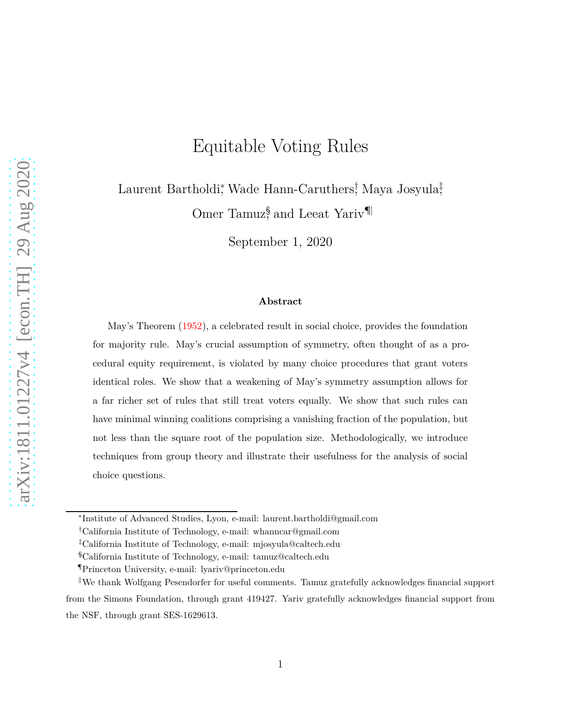# Equitable Voting Rules

Laurent Bartholdi,<sup>∗</sup> Wade Hann-Caruthers! Maya Josyula<sup>‡</sup>,

Omer Tamuz<sup>§</sup>, and Leeat Yariv<sup>¶</sup>

September 1, 2020

#### **Abstract**

May's Theorem [\(1952](#page-41-0)), a celebrated result in social choice, provides the foundation for majority rule. May's crucial assumption of symmetry, often thought of as a procedural equity requirement, is violated by many choice procedures that grant voters identical roles. We show that a weakening of May's symmetry assumption allows for a far richer set of rules that still treat voters equally. We show that such rules can have minimal winning coalitions comprising a vanishing fraction of the population, but not less than the square root of the population size. Methodologically, we introduce techniques from group theory and illustrate their usefulness for the analysis of social choice questions.

<sup>∗</sup> Institute of Advanced Studies, Lyon, e-mail: laurent.bartholdi@gmail.com

<sup>†</sup>California Institute of Technology, e-mail: whanncar@gmail.com

<sup>‡</sup>California Institute of Technology, e-mail: mjosyula@caltech.edu

<sup>§</sup>California Institute of Technology, e-mail: tamuz@caltech.edu

<sup>¶</sup>Princeton University, e-mail: lyariv@princeton.edu

 $\mathbb{R}^n$  We thank Wolfgang Pesendorfer for useful comments. Tamuz gratefully acknowledges financial support from the Simons Foundation, through grant 419427. Yariv gratefully acknowledges financial support from the NSF, through grant SES-1629613.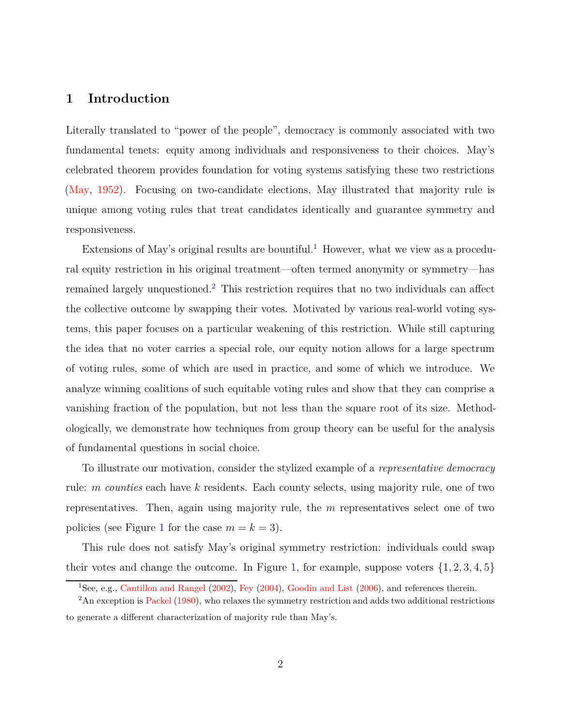## **1 Introduction**

Literally translated to "power of the people", democracy is commonly associated with two fundamental tenets: equity among individuals and responsiveness to their choices. May's celebrated theorem provides foundation for voting systems satisfying these two restrictions [\(May,](#page-41-0) [1952\)](#page-41-0). Focusing on two-candidate elections, May illustrated that majority rule is unique among voting rules that treat candidates identically and guarantee symmetry and responsiveness.

Extensions of May's original results are bountiful.<sup>[1](#page-1-0)</sup> However, what we view as a procedural equity restriction in his original treatment—often termed anonymity or symmetry—has remained largely unquestioned.[2](#page-1-1) This restriction requires that no two individuals can affect the collective outcome by swapping their votes. Motivated by various real-world voting systems, this paper focuses on a particular weakening of this restriction. While still capturing the idea that no voter carries a special role, our equity notion allows for a large spectrum of voting rules, some of which are used in practice, and some of which we introduce. We analyze winning coalitions of such equitable voting rules and show that they can comprise a vanishing fraction of the population, but not less than the square root of its size. Methodologically, we demonstrate how techniques from group theory can be useful for the analysis of fundamental questions in social choice.

To illustrate our motivation, consider the stylized example of a *representative democracy* rule: *m counties* each have *k* residents. Each county selects, using majority rule, one of two representatives. Then, again using majority rule, the *m* representatives select one of two policies (see Figure [1](#page-2-0) for the case  $m = k = 3$ ).

This rule does not satisfy May's original symmetry restriction: individuals could swap their votes and change the outcome. In Figure [1,](#page-2-0) for example, suppose voters  $\{1, 2, 3, 4, 5\}$ 

<span id="page-1-0"></span><sup>1</sup>See, e.g., [Cantillon and Rangel](#page-40-0) [\(2002\)](#page-40-0), [Fey](#page-40-1) [\(2004\)](#page-40-1), [Goodin and List](#page-40-2) [\(2006\)](#page-40-2), and references therein.

<span id="page-1-1"></span> $2\text{An exception is Packel } (1980)$  $2\text{An exception is Packel } (1980)$  $2\text{An exception is Packel } (1980)$  $2\text{An exception is Packel } (1980)$ , who relaxes the symmetry restriction and adds two additional restrictions to generate a different characterization of majority rule than May's.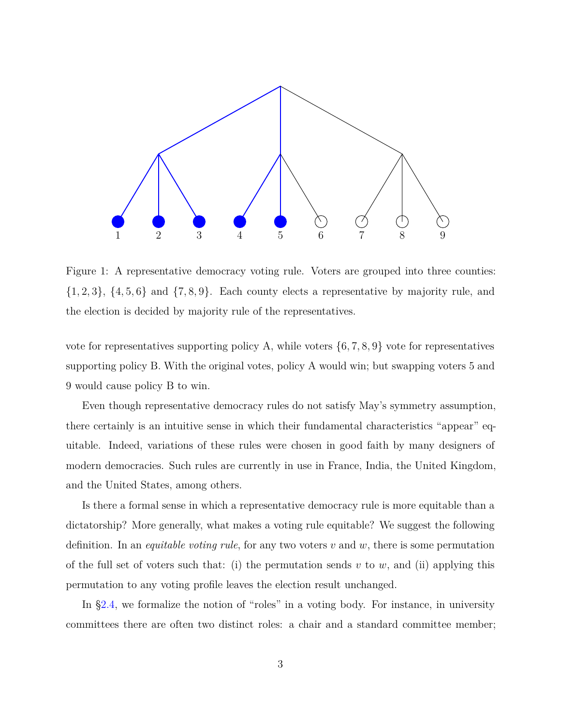<span id="page-2-0"></span>

Figure 1: A representative democracy voting rule. Voters are grouped into three counties:  $\{1, 2, 3\}$ ,  $\{4, 5, 6\}$  and  $\{7, 8, 9\}$ . Each county elects a representative by majority rule, and the election is decided by majority rule of the representatives.

vote for representatives supporting policy A, while voters  $\{6, 7, 8, 9\}$  vote for representatives supporting policy B. With the original votes, policy A would win; but swapping voters 5 and 9 would cause policy B to win.

Even though representative democracy rules do not satisfy May's symmetry assumption, there certainly is an intuitive sense in which their fundamental characteristics "appear" equitable. Indeed, variations of these rules were chosen in good faith by many designers of modern democracies. Such rules are currently in use in France, India, the United Kingdom, and the United States, among others.

Is there a formal sense in which a representative democracy rule is more equitable than a dictatorship? More generally, what makes a voting rule equitable? We suggest the following definition. In an *equitable voting rule*, for any two voters *v* and *w*, there is some permutation of the full set of voters such that: (i) the permutation sends  $v$  to  $w$ , and (ii) applying this permutation to any voting profile leaves the election result unchanged.

In [§2.4,](#page-9-0) we formalize the notion of "roles" in a voting body. For instance, in university committees there are often two distinct roles: a chair and a standard committee member;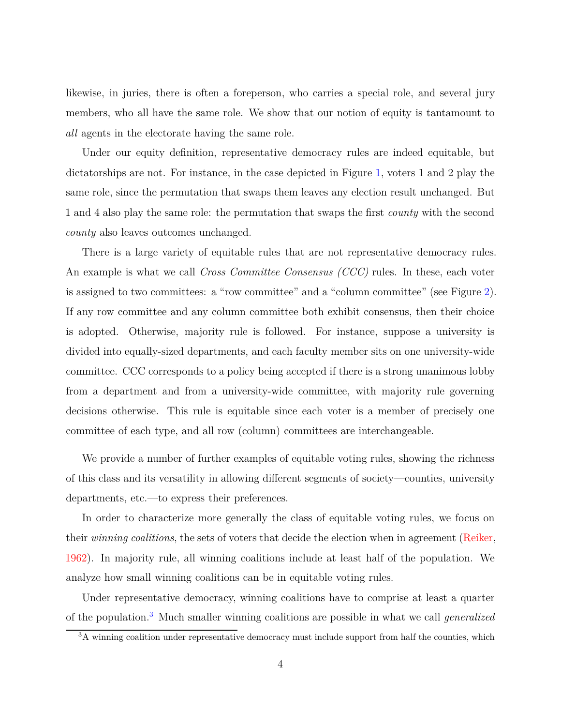likewise, in juries, there is often a foreperson, who carries a special role, and several jury members, who all have the same role. We show that our notion of equity is tantamount to *all* agents in the electorate having the same role.

Under our equity definition, representative democracy rules are indeed equitable, but dictatorships are not. For instance, in the case depicted in Figure [1,](#page-2-0) voters 1 and 2 play the same role, since the permutation that swaps them leaves any election result unchanged. But 1 and 4 also play the same role: the permutation that swaps the first *county* with the second *county* also leaves outcomes unchanged.

There is a large variety of equitable rules that are not representative democracy rules. An example is what we call *Cross Committee Consensus (CCC)* rules. In these, each voter is assigned to two committees: a "row committee" and a "column committee" (see Figure [2\)](#page-4-0). If any row committee and any column committee both exhibit consensus, then their choice is adopted. Otherwise, majority rule is followed. For instance, suppose a university is divided into equally-sized departments, and each faculty member sits on one university-wide committee. CCC corresponds to a policy being accepted if there is a strong unanimous lobby from a department and from a university-wide committee, with majority rule governing decisions otherwise. This rule is equitable since each voter is a member of precisely one committee of each type, and all row (column) committees are interchangeable.

We provide a number of further examples of equitable voting rules, showing the richness of this class and its versatility in allowing different segments of society—counties, university departments, etc.—to express their preferences.

In order to characterize more generally the class of equitable voting rules, we focus on their *winning coalitions*, the sets of voters that decide the election when in agreement [\(Reiker](#page-41-2), [1962\)](#page-41-2). In majority rule, all winning coalitions include at least half of the population. We analyze how small winning coalitions can be in equitable voting rules.

Under representative democracy, winning coalitions have to comprise at least a quarter of the population.[3](#page-3-0) Much smaller winning coalitions are possible in what we call *generalized*

<span id="page-3-0"></span><sup>3</sup>A winning coalition under representative democracy must include support from half the counties, which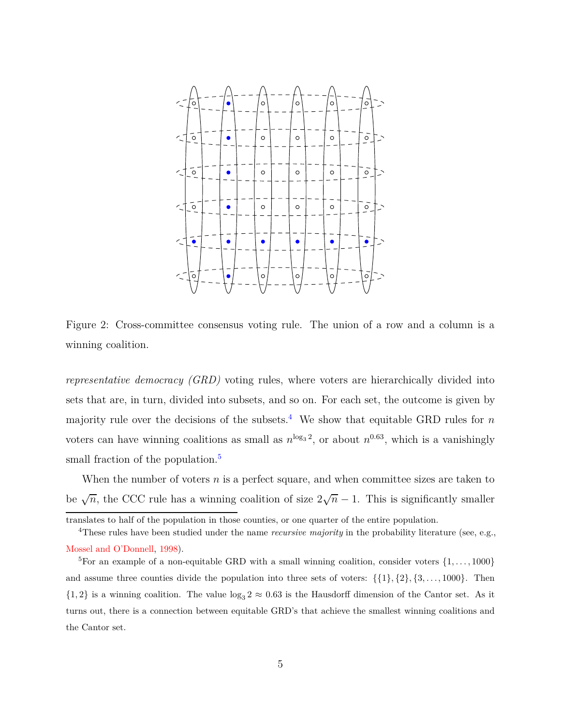<span id="page-4-0"></span>

Figure 2: Cross-committee consensus voting rule. The union of a row and a column is a winning coalition.

*representative democracy (GRD)* voting rules, where voters are hierarchically divided into sets that are, in turn, divided into subsets, and so on. For each set, the outcome is given by majority rule over the decisions of the subsets.<sup>[4](#page-4-1)</sup> We show that equitable GRD rules for  $n$ voters can have winning coalitions as small as  $n^{\log_3 2}$ , or about  $n^{0.63}$ , which is a vanishingly small fraction of the population.<sup>[5](#page-4-2)</sup>

When the number of voters *n* is a perfect square, and when committee sizes are taken to be  $\sqrt{n}$ , the CCC rule has a winning coalition of size  $2\sqrt{n} - 1$ . This is significantly smaller

translates to half of the population in those counties, or one quarter of the entire population.

<span id="page-4-1"></span><sup>&</sup>lt;sup>4</sup>These rules have been studied under the name *recursive majority* in the probability literature (see, e.g., [Mossel and O'Donnell](#page-41-3), [1998](#page-41-3)).

<span id="page-4-2"></span><sup>&</sup>lt;sup>5</sup>For an example of a non-equitable GRD with a small winning coalition, consider voters  $\{1, \ldots, 1000\}$ and assume three counties divide the population into three sets of voters:  $\{\{1\},\{2\},\{3,\ldots,1000\}\$ . Then  $\{1,2\}$  is a winning coalition. The value  $\log_3 2 \approx 0.63$  is the Hausdorff dimension of the Cantor set. As it turns out, there is a connection between equitable GRD's that achieve the smallest winning coalitions and the Cantor set.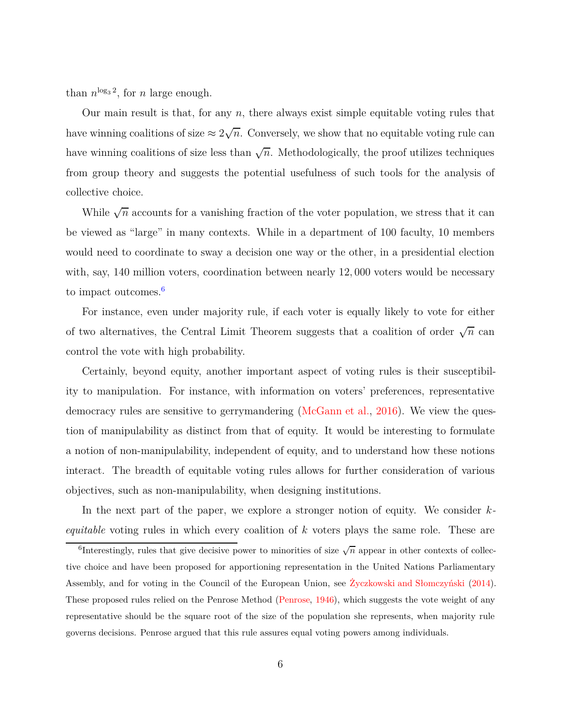than  $n^{\log_3 2}$ , for *n* large enough.

Our main result is that, for any *n*, there always exist simple equitable voting rules that have winning coalitions of size  $\approx 2\sqrt{n}$ . Conversely, we show that no equitable voting rule can have winning coalitions of size less than  $\sqrt{n}$ . Methodologically, the proof utilizes techniques from group theory and suggests the potential usefulness of such tools for the analysis of collective choice.

While  $\sqrt{n}$  accounts for a vanishing fraction of the voter population, we stress that it can be viewed as "large" in many contexts. While in a department of 100 faculty, 10 members would need to coordinate to sway a decision one way or the other, in a presidential election with, say, 140 million voters, coordination between nearly 12*,* 000 voters would be necessary to impact outcomes.<sup>[6](#page-5-0)</sup>

For instance, even under majority rule, if each voter is equally likely to vote for either of two alternatives, the Central Limit Theorem suggests that a coalition of order  $\sqrt{n}$  can control the vote with high probability.

Certainly, beyond equity, another important aspect of voting rules is their susceptibility to manipulation. For instance, with information on voters' preferences, representative democracy rules are sensitive to gerrymandering [\(McGann et al.](#page-41-4), [2016](#page-41-4)). We view the question of manipulability as distinct from that of equity. It would be interesting to formulate a notion of non-manipulability, independent of equity, and to understand how these notions interact. The breadth of equitable voting rules allows for further consideration of various objectives, such as non-manipulability, when designing institutions.

In the next part of the paper, we explore a stronger notion of equity. We consider *kequitable* voting rules in which every coalition of *k* voters plays the same role. These are

<span id="page-5-0"></span><sup>&</sup>lt;sup>6</sup>Interestingly, rules that give decisive power to minorities of size  $\sqrt{n}$  appear in other contexts of collective choice and have been proposed for apportioning representation in the United Nations Parliamentary Assembly, and for voting in the Council of the European Union, see [Życzkowski and Słomczyński](#page-42-0) [\(2014](#page-42-0)). These proposed rules relied on the Penrose Method [\(Penrose](#page-41-5), [1946\)](#page-41-5), which suggests the vote weight of any representative should be the square root of the size of the population she represents, when majority rule governs decisions. Penrose argued that this rule assures equal voting powers among individuals.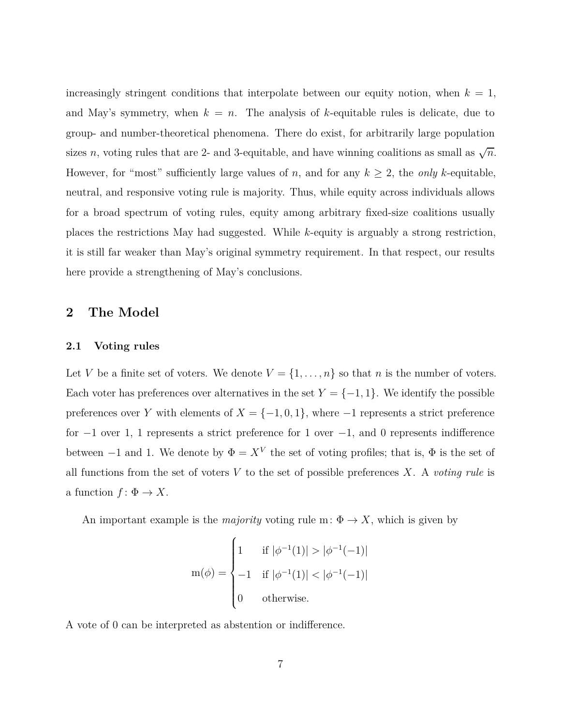increasingly stringent conditions that interpolate between our equity notion, when  $k = 1$ , and May's symmetry, when  $k = n$ . The analysis of *k*-equitable rules is delicate, due to group- and number-theoretical phenomena. There do exist, for arbitrarily large population sizes *n*, voting rules that are 2- and 3-equitable, and have winning coalitions as small as  $\sqrt{n}$ . However, for "most" sufficiently large values of *n*, and for any  $k \geq 2$ , the *only k*-equitable, neutral, and responsive voting rule is majority. Thus, while equity across individuals allows for a broad spectrum of voting rules, equity among arbitrary fixed-size coalitions usually places the restrictions May had suggested. While *k*-equity is arguably a strong restriction, it is still far weaker than May's original symmetry requirement. In that respect, our results here provide a strengthening of May's conclusions.

## **2 The Model**

## **2.1 Voting rules**

Let *V* be a finite set of voters. We denote  $V = \{1, \ldots, n\}$  so that *n* is the number of voters. Each voter has preferences over alternatives in the set  $Y = \{-1, 1\}$ . We identify the possible preferences over *Y* with elements of  $X = \{-1, 0, 1\}$ , where  $-1$  represents a strict preference for  $-1$  over 1, 1 represents a strict preference for 1 over  $-1$ , and 0 represents indifference between  $-1$  and 1. We denote by  $\Phi = X^V$  the set of voting profiles; that is,  $\Phi$  is the set of all functions from the set of voters  $V$  to the set of possible preferences  $X$ . A *voting rule* is a function  $f: \Phi \to X$ .

An important example is the *majority* voting rule m:  $\Phi \to X$ , which is given by

$$
m(\phi) = \begin{cases} 1 & \text{if } |\phi^{-1}(1)| > |\phi^{-1}(-1)| \\ -1 & \text{if } |\phi^{-1}(1)| < |\phi^{-1}(-1)| \\ 0 & \text{otherwise.} \end{cases}
$$

A vote of 0 can be interpreted as abstention or indifference.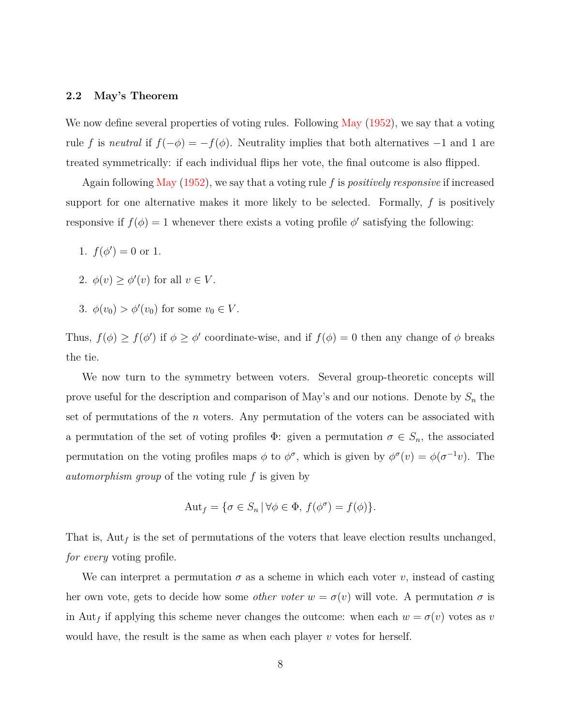#### **2.2 May's Theorem**

We now define several properties of voting rules. Following [May](#page-41-0) [\(1952\)](#page-41-0), we say that a voting rule *f* is *neutral* if  $f(-\phi) = -f(\phi)$ . Neutrality implies that both alternatives -1 and 1 are treated symmetrically: if each individual flips her vote, the final outcome is also flipped.

Again following [May](#page-41-0) [\(1952\)](#page-41-0), we say that a voting rule *f* is *positively responsive* if increased support for one alternative makes it more likely to be selected. Formally, *f* is positively responsive if  $f(\phi) = 1$  whenever there exists a voting profile  $\phi'$  satisfying the following:

- 1.  $f(\phi') = 0$  or 1.
- 2.  $\phi(v) \ge \phi'(v)$  for all  $v \in V$ .
- 3.  $\phi(v_0) > \phi'(v_0)$  for some  $v_0 \in V$ .

Thus,  $f(\phi) \ge f(\phi')$  if  $\phi \ge \phi'$  coordinate-wise, and if  $f(\phi) = 0$  then any change of  $\phi$  breaks the tie.

We now turn to the symmetry between voters. Several group-theoretic concepts will prove useful for the description and comparison of May's and our notions. Denote by *S<sup>n</sup>* the set of permutations of the *n* voters. Any permutation of the voters can be associated with a permutation of the set of voting profiles  $\Phi$ : given a permutation  $\sigma \in S_n$ , the associated permutation on the voting profiles maps  $\phi$  to  $\phi^{\sigma}$ , which is given by  $\phi^{\sigma}(v) = \phi(\sigma^{-1}v)$ . The *automorphism group* of the voting rule *f* is given by

$$
Aut_f = \{ \sigma \in S_n \, | \, \forall \phi \in \Phi, \, f(\phi^{\sigma}) = f(\phi) \}.
$$

That is,  $\text{Aut}_f$  is the set of permutations of the voters that leave election results unchanged, *for every* voting profile.

We can interpret a permutation  $\sigma$  as a scheme in which each voter  $v$ , instead of casting her own vote, gets to decide how some *other voter*  $w = \sigma(v)$  will vote. A permutation  $\sigma$  is in Aut<sub>f</sub> if applying this scheme never changes the outcome: when each  $w = \sigma(v)$  votes as *v* would have, the result is the same as when each player *v* votes for herself.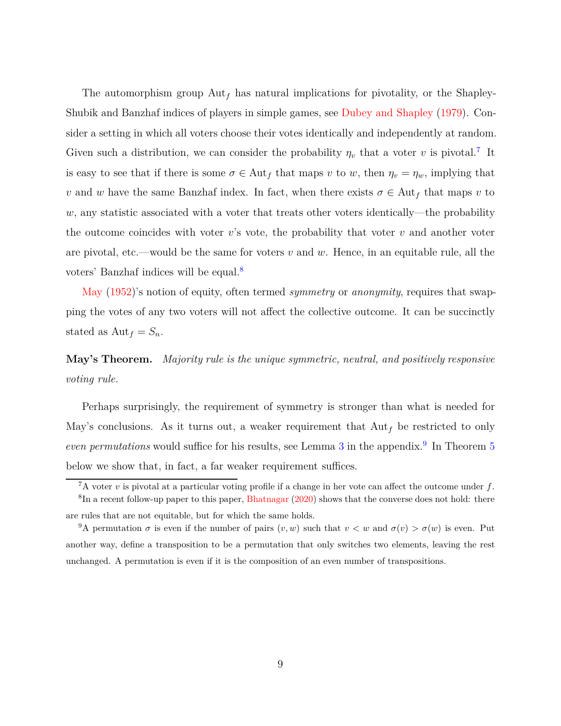The automorphism group Aut*<sup>f</sup>* has natural implications for pivotality, or the Shapley-Shubik and Banzhaf indices of players in simple games, see [Dubey and Shapley](#page-40-3) [\(1979](#page-40-3)). Consider a setting in which all voters choose their votes identically and independently at random. Given such a distribution, we can consider the probability  $\eta_v$  that a voter *v* is pivotal.<sup>[7](#page-8-0)</sup> It is easy to see that if there is some  $\sigma \in \text{Aut}_f$  that maps *v* to *w*, then  $\eta_v = \eta_w$ , implying that *v* and *w* have the same Banzhaf index. In fact, when there exists  $\sigma \in \text{Aut}_f$  that maps *v* to *w*, any statistic associated with a voter that treats other voters identically—the probability the outcome coincides with voter  $v$ 's vote, the probability that voter  $v$  and another voter are pivotal, etc.—would be the same for voters *v* and *w*. Hence, in an equitable rule, all the voters' Banzhaf indices will be equal.[8](#page-8-1)

[May](#page-41-0) [\(1952\)](#page-41-0)'s notion of equity, often termed *symmetry* or *anonymity*, requires that swapping the votes of any two voters will not affect the collective outcome. It can be succinctly stated as  $Aut_f = S_n$ .

**May's Theorem.** *Majority rule is the unique symmetric, neutral, and positively responsive voting rule.*

Perhaps surprisingly, the requirement of symmetry is stronger than what is needed for May's conclusions. As it turns out, a weaker requirement that  $\text{Aut}_f$  be restricted to only *even permutations* would suffice for his results, see Lemma [3](#page-31-0) in the appendix.<sup>[9](#page-8-2)</sup> In Theorem [5](#page-20-0) below we show that, in fact, a far weaker requirement suffices.

<span id="page-8-0"></span><sup>7</sup>A voter *v* is pivotal at a particular voting profile if a change in her vote can affect the outcome under *f*.

<span id="page-8-1"></span> ${}^{8}$ In a recent follow-up paper to this paper, [Bhatnagar](#page-40-4) [\(2020\)](#page-40-4) shows that the converse does not hold: there are rules that are not equitable, but for which the same holds.

<span id="page-8-2"></span><sup>&</sup>lt;sup>9</sup>A permutation  $\sigma$  is even if the number of pairs  $(v, w)$  such that  $v < w$  and  $\sigma(v) > \sigma(w)$  is even. Put another way, define a transposition to be a permutation that only switches two elements, leaving the rest unchanged. A permutation is even if it is the composition of an even number of transpositions.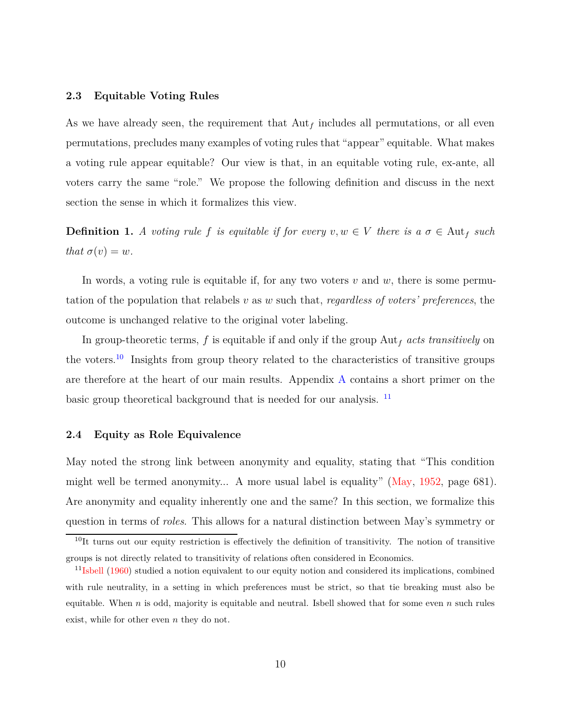#### **2.3 Equitable Voting Rules**

As we have already seen, the requirement that  $\text{Aut}_f$  includes all permutations, or all even permutations, precludes many examples of voting rules that "appear" equitable. What makes a voting rule appear equitable? Our view is that, in an equitable voting rule, ex-ante, all voters carry the same "role." We propose the following definition and discuss in the next section the sense in which it formalizes this view.

**Definition 1.** A voting rule f is equitable if for every  $v, w \in V$  there is a  $\sigma \in \text{Aut}_f$  such *that*  $\sigma(v) = w$ *.* 

In words, a voting rule is equitable if, for any two voters *v* and *w*, there is some permutation of the population that relabels *v* as *w* such that, *regardless of voters' preferences*, the outcome is unchanged relative to the original voter labeling.

In group-theoretic terms, *f* is equitable if and only if the group Aut*<sup>f</sup> acts transitively* on the voters.<sup>[10](#page-9-1)</sup> Insights from group theory related to the characteristics of transitive groups are therefore at the heart of our main results. Appendix [A](#page-24-0) contains a short primer on the basic group theoretical background that is needed for our analysis.  $\frac{11}{2}$  $\frac{11}{2}$  $\frac{11}{2}$ 

#### <span id="page-9-0"></span>**2.4 Equity as Role Equivalence**

May noted the strong link between anonymity and equality, stating that "This condition might well be termed anonymity... A more usual label is equality" [\(May](#page-41-0), [1952](#page-41-0), page 681). Are anonymity and equality inherently one and the same? In this section, we formalize this question in terms of *roles*. This allows for a natural distinction between May's symmetry or

<span id="page-9-1"></span> $10$ It turns out our equity restriction is effectively the definition of transitivity. The notion of transitive groups is not directly related to transitivity of relations often considered in Economics.

<span id="page-9-2"></span> $11$ <sub>[Isbell](#page-40-5)</sub> [\(1960](#page-40-5)) studied a notion equivalent to our equity notion and considered its implications, combined with rule neutrality, in a setting in which preferences must be strict, so that tie breaking must also be equitable. When *n* is odd, majority is equitable and neutral. Isbell showed that for some even *n* such rules exist, while for other even *n* they do not.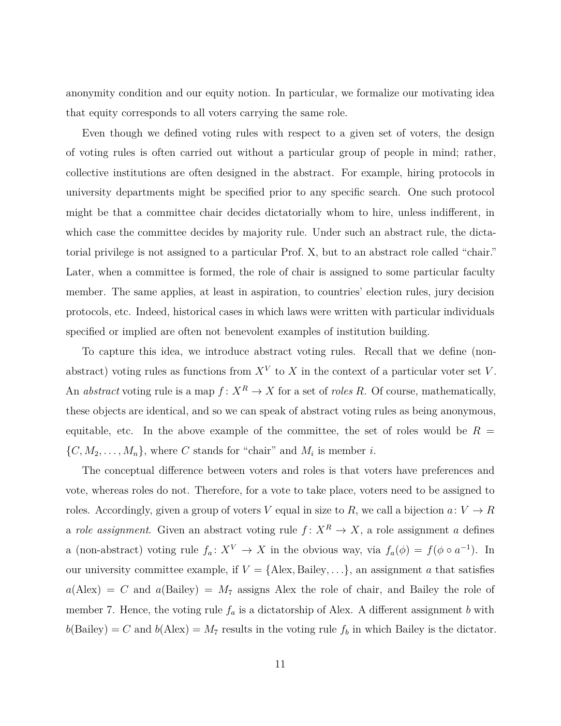anonymity condition and our equity notion. In particular, we formalize our motivating idea that equity corresponds to all voters carrying the same role.

Even though we defined voting rules with respect to a given set of voters, the design of voting rules is often carried out without a particular group of people in mind; rather, collective institutions are often designed in the abstract. For example, hiring protocols in university departments might be specified prior to any specific search. One such protocol might be that a committee chair decides dictatorially whom to hire, unless indifferent, in which case the committee decides by majority rule. Under such an abstract rule, the dictatorial privilege is not assigned to a particular Prof. X, but to an abstract role called "chair." Later, when a committee is formed, the role of chair is assigned to some particular faculty member. The same applies, at least in aspiration, to countries' election rules, jury decision protocols, etc. Indeed, historical cases in which laws were written with particular individuals specified or implied are often not benevolent examples of institution building.

To capture this idea, we introduce abstract voting rules. Recall that we define (nonabstract) voting rules as functions from  $X^V$  to  $X$  in the context of a particular voter set  $V$ . An *abstract* voting rule is a map  $f: X^R \to X$  for a set of *roles* R. Of course, mathematically, these objects are identical, and so we can speak of abstract voting rules as being anonymous, equitable, etc. In the above example of the committee, the set of roles would be  $R =$  $\{C, M_2, \ldots, M_n\}$ , where *C* stands for "chair" and  $M_i$  is member *i*.

The conceptual difference between voters and roles is that voters have preferences and vote, whereas roles do not. Therefore, for a vote to take place, voters need to be assigned to roles. Accordingly, given a group of voters *V* equal in size to *R*, we call a bijection  $a: V \to R$ a *role assignment*. Given an abstract voting rule  $f: X^R \to X$ , a role assignment *a* defines a (non-abstract) voting rule  $f_a: X^V \to X$  in the obvious way, via  $f_a(\phi) = f(\phi \circ a^{-1})$ . In our university committee example, if  $V = \{$ Alex, Bailey, ..., $\}$ , an assignment *a* that satisfies  $a(\text{Alex}) = C$  and  $a(\text{Bailey}) = M_7$  assigns Alex the role of chair, and Bailey the role of member 7. Hence, the voting rule  $f_a$  is a dictatorship of Alex. A different assignment *b* with  $b(Bailey) = C$  and  $b(Alex) = M_7$  results in the voting rule  $f_b$  in which Bailey is the dictator.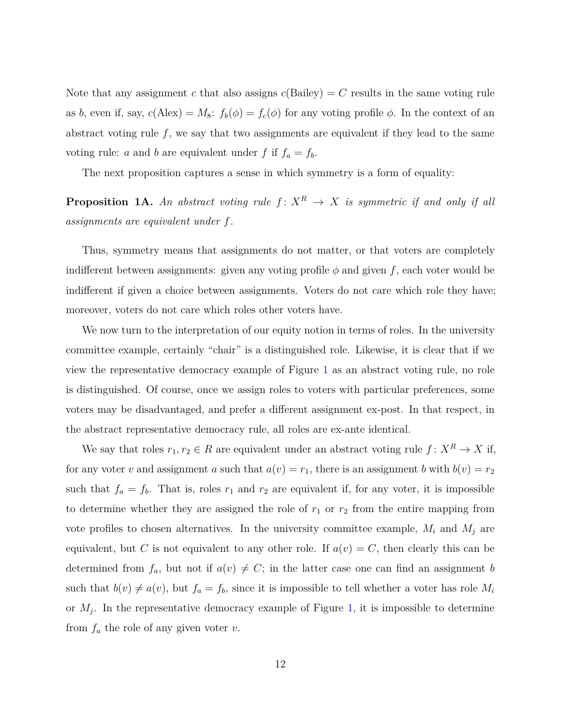Note that any assignment *c* that also assigns  $c(Bailey) = C$  results in the same voting rule as *b*, even if, say,  $c(Alex) = M_8$ :  $f_b(\phi) = f_c(\phi)$  for any voting profile  $\phi$ . In the context of an abstract voting rule  $f$ , we say that two assignments are equivalent if they lead to the same voting rule: *a* and *b* are equivalent under *f* if  $f_a = f_b$ .

The next proposition captures a sense in which symmetry is a form of equality:

<span id="page-11-0"></span>**Proposition 1A.** An abstract voting rule  $f: X^R \to X$  is symmetric if and only if all *assignments are equivalent under f.*

Thus, symmetry means that assignments do not matter, or that voters are completely indifferent between assignments: given any voting profile  $\phi$  and given  $f$ , each voter would be indifferent if given a choice between assignments. Voters do not care which role they have; moreover, voters do not care which roles other voters have.

We now turn to the interpretation of our equity notion in terms of roles. In the university committee example, certainly "chair" is a distinguished role. Likewise, it is clear that if we view the representative democracy example of Figure [1](#page-2-0) as an abstract voting rule, no role is distinguished. Of course, once we assign roles to voters with particular preferences, some voters may be disadvantaged, and prefer a different assignment ex-post. In that respect, in the abstract representative democracy rule, all roles are ex-ante identical.

We say that roles  $r_1, r_2 \in R$  are equivalent under an abstract voting rule  $f: X^R \to X$  if, for any voter *v* and assignment *a* such that  $a(v) = r_1$ , there is an assignment *b* with  $b(v) = r_2$ such that  $f_a = f_b$ . That is, roles  $r_1$  and  $r_2$  are equivalent if, for any voter, it is impossible to determine whether they are assigned the role of  $r_1$  or  $r_2$  from the entire mapping from vote profiles to chosen alternatives. In the university committee example,  $M_i$  and  $M_j$  are equivalent, but *C* is not equivalent to any other role. If  $a(v) = C$ , then clearly this can be determined from  $f_a$ , but not if  $a(v) \neq C$ ; in the latter case one can find an assignment *b* such that  $b(v) \neq a(v)$ , but  $f_a = f_b$ , since it is impossible to tell whether a voter has role  $M_i$ or *M<sup>j</sup>* . In the representative democracy example of Figure [1,](#page-2-0) it is impossible to determine from *f<sup>a</sup>* the role of any given voter *v*.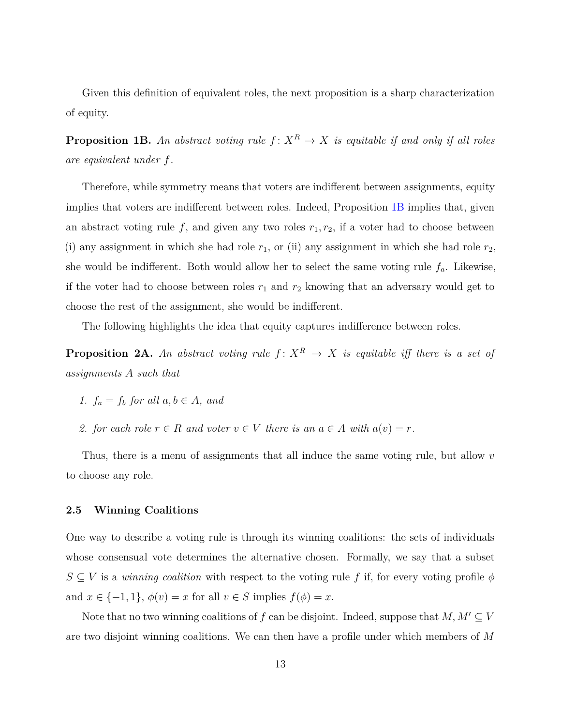Given this definition of equivalent roles, the next proposition is a sharp characterization of equity.

<span id="page-12-0"></span>**Proposition 1B.** An abstract voting rule  $f: X^R \to X$  is equitable if and only if all roles *are equivalent under f.*

Therefore, while symmetry means that voters are indifferent between assignments, equity implies that voters are indifferent between roles. Indeed, Proposition [1B](#page-12-0) implies that, given an abstract voting rule  $f$ , and given any two roles  $r_1, r_2$ , if a voter had to choose between (i) any assignment in which she had role  $r_1$ , or (ii) any assignment in which she had role  $r_2$ , she would be indifferent. Both would allow her to select the same voting rule  $f_a$ . Likewise, if the voter had to choose between roles  $r_1$  and  $r_2$  knowing that an adversary would get to choose the rest of the assignment, she would be indifferent.

The following highlights the idea that equity captures indifference between roles.

<span id="page-12-1"></span>**Proposition 2A.** An abstract voting rule  $f: X^R \to X$  is equitable iff there is a set of *assignments A such that*

- *1.*  $f_a = f_b$  *for all*  $a, b \in A$ *, and*
- *2. for each role*  $r \in R$  *and voter*  $v \in V$  *there is an*  $a \in A$  *with*  $a(v) = r$ *.*

Thus, there is a menu of assignments that all induce the same voting rule, but allow *v* to choose any role.

## **2.5 Winning Coalitions**

One way to describe a voting rule is through its winning coalitions: the sets of individuals whose consensual vote determines the alternative chosen. Formally, we say that a subset  $S \subseteq V$  is a *winning coalition* with respect to the voting rule f if, for every voting profile  $\phi$ and  $x \in \{-1, 1\}$ ,  $\phi(v) = x$  for all  $v \in S$  implies  $f(\phi) = x$ .

Note that no two winning coalitions of  $f$  can be disjoint. Indeed, suppose that  $M, M' \subseteq V$ are two disjoint winning coalitions. We can then have a profile under which members of *M*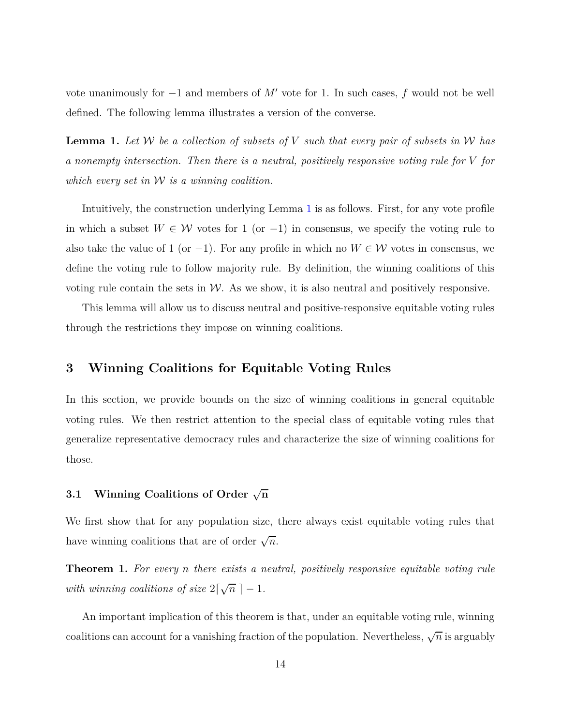vote unanimously for −1 and members of *M*′ vote for 1. In such cases, *f* would not be well defined. The following lemma illustrates a version of the converse.

<span id="page-13-0"></span>**Lemma 1.** *Let* W *be a collection of subsets of V such that every pair of subsets in* W *has a nonempty intersection. Then there is a neutral, positively responsive voting rule for V for which every set in* W *is a winning coalition.*

Intuitively, the construction underlying Lemma [1](#page-13-0) is as follows. First, for any vote profile in which a subset  $W ∈ W$  votes for 1 (or  $-1$ ) in consensus, we specify the voting rule to also take the value of 1 (or -1). For any profile in which no  $W \in \mathcal{W}$  votes in consensus, we define the voting rule to follow majority rule. By definition, the winning coalitions of this voting rule contain the sets in  $W$ . As we show, it is also neutral and positively responsive.

<span id="page-13-2"></span>This lemma will allow us to discuss neutral and positive-responsive equitable voting rules through the restrictions they impose on winning coalitions.

## **3 Winning Coalitions for Equitable Voting Rules**

In this section, we provide bounds on the size of winning coalitions in general equitable voting rules. We then restrict attention to the special class of equitable voting rules that generalize representative democracy rules and characterize the size of winning coalitions for those.

## **3.1 Winning Coalitions of Order** √ **n**

We first show that for any population size, there always exist equitable voting rules that have winning coalitions that are of order  $\sqrt{n}$ .

<span id="page-13-1"></span>**Theorem 1.** *For every n there exists a neutral, positively responsive equitable voting rule* with winning coalitions of size  $2\lceil\sqrt{n}\rceil - 1$ .

An important implication of this theorem is that, under an equitable voting rule, winning coalitions can account for a vanishing fraction of the population. Nevertheless,  $\sqrt{n}$  is arguably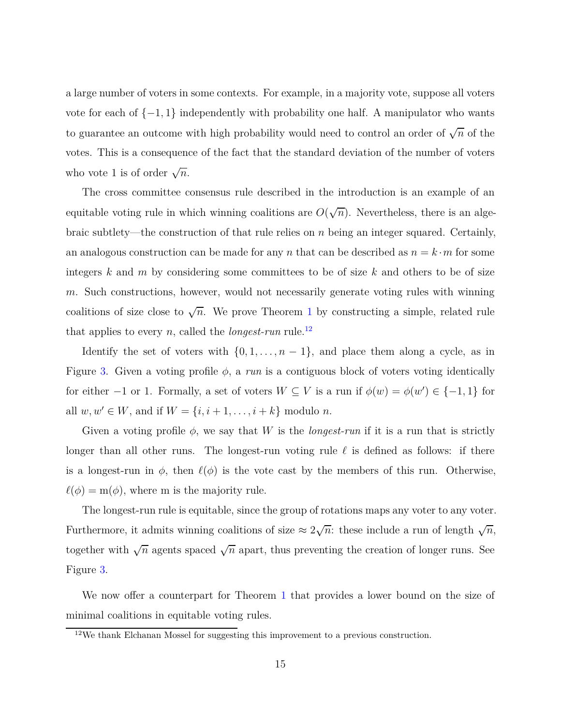a large number of voters in some contexts. For example, in a majority vote, suppose all voters vote for each of {−1*,* 1} independently with probability one half. A manipulator who wants to guarantee an outcome with high probability would need to control an order of  $\sqrt{n}$  of the votes. This is a consequence of the fact that the standard deviation of the number of voters who vote 1 is of order  $\sqrt{n}$ .

The cross committee consensus rule described in the introduction is an example of an equitable voting rule in which winning coalitions are  $O(\sqrt{n})$ . Nevertheless, there is an algebraic subtlety—the construction of that rule relies on *n* being an integer squared. Certainly, an analogous construction can be made for any *n* that can be described as  $n = k \cdot m$  for some integers *k* and *m* by considering some committees to be of size *k* and others to be of size *m*. Such constructions, however, would not necessarily generate voting rules with winning coalitions of size close to  $\sqrt{n}$ . We prove Theorem [1](#page-13-1) by constructing a simple, related rule that applies to every *n*, called the *longest-run* rule.<sup>[12](#page-14-0)</sup>

Identify the set of voters with  $\{0, 1, \ldots, n-1\}$ , and place them along a cycle, as in Figure [3.](#page-15-0) Given a voting profile  $\phi$ , a *run* is a contiguous block of voters voting identically for either  $-1$  or 1. Formally, a set of voters  $W \subseteq V$  is a run if  $\phi(w) = \phi(w') \in \{-1, 1\}$  for all  $w, w' \in W$ , and if  $W = \{i, i + 1, ..., i + k\}$  modulo *n*.

Given a voting profile  $\phi$ , we say that *W* is the *longest-run* if it is a run that is strictly longer than all other runs. The longest-run voting rule *ℓ* is defined as follows: if there is a longest-run in  $\phi$ , then  $\ell(\phi)$  is the vote cast by the members of this run. Otherwise,  $\ell(\phi) = m(\phi)$ , where m is the majority rule.

The longest-run rule is equitable, since the group of rotations maps any voter to any voter. Furthermore, it admits winning coalitions of size  $\approx 2\sqrt{n}$ : these include a run of length  $\sqrt{n}$ , together with  $\sqrt{n}$  agents spaced  $\sqrt{n}$  apart, thus preventing the creation of longer runs. See Figure [3.](#page-15-0)

We now offer a counterpart for Theorem [1](#page-13-1) that provides a lower bound on the size of minimal coalitions in equitable voting rules.

<span id="page-14-0"></span> $12$ We thank Elchanan Mossel for suggesting this improvement to a previous construction.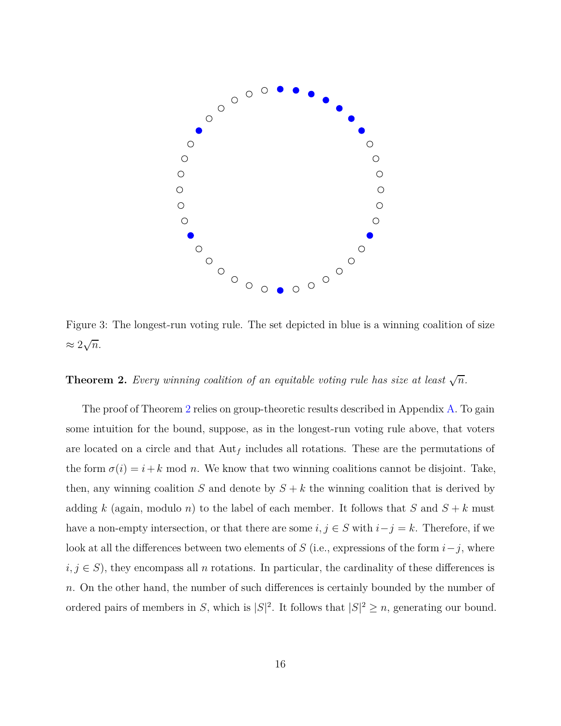<span id="page-15-0"></span>

Figure 3: The longest-run voting rule. The set depicted in blue is a winning coalition of size  $≈ 2\sqrt{n}$ .

## <span id="page-15-1"></span>**Theorem 2.** *Every winning coalition of an equitable voting rule has size at least*  $\sqrt{n}$ *.*

The proof of Theorem [2](#page-15-1) relies on group-theoretic results described in Appendix [A.](#page-24-0) To gain some intuition for the bound, suppose, as in the longest-run voting rule above, that voters are located on a circle and that Aut*<sup>f</sup>* includes all rotations. These are the permutations of the form  $\sigma(i) = i + k \mod n$ . We know that two winning coalitions cannot be disjoint. Take, then, any winning coalition *S* and denote by  $S + k$  the winning coalition that is derived by adding *k* (again, modulo *n*) to the label of each member. It follows that *S* and  $S + k$  must have a non-empty intersection, or that there are some  $i, j \in S$  with  $i - j = k$ . Therefore, if we look at all the differences between two elements of *S* (i.e., expressions of the form  $i-j$ , where  $i, j \in S$ ), they encompass all *n* rotations. In particular, the cardinality of these differences is *n*. On the other hand, the number of such differences is certainly bounded by the number of ordered pairs of members in *S*, which is  $|S|^2$ . It follows that  $|S|^2 \ge n$ , generating our bound.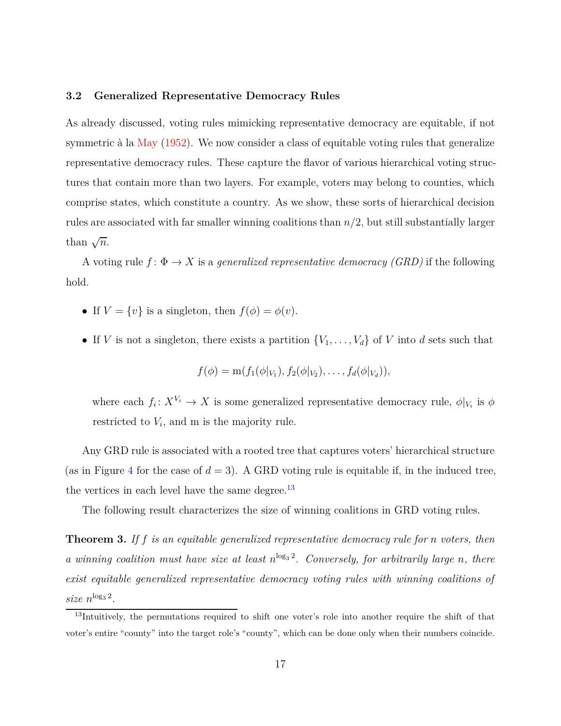#### **3.2 Generalized Representative Democracy Rules**

As already discussed, voting rules mimicking representative democracy are equitable, if not symmetric à la [May](#page-41-0) [\(1952\)](#page-41-0). We now consider a class of equitable voting rules that generalize representative democracy rules. These capture the flavor of various hierarchical voting structures that contain more than two layers. For example, voters may belong to counties, which comprise states, which constitute a country. As we show, these sorts of hierarchical decision rules are associated with far smaller winning coalitions than *n/*2, but still substantially larger than  $\sqrt{n}$ .

A voting rule  $f: \Phi \to X$  is a *generalized representative democracy (GRD)* if the following hold.

- If  $V = \{v\}$  is a singleton, then  $f(\phi) = \phi(v)$ .
- If *V* is not a singleton, there exists a partition  $\{V_1, \ldots, V_d\}$  of *V* into *d* sets such that

$$
f(\phi) = m(f_1(\phi|_{V_1}), f_2(\phi|_{V_2}), \ldots, f_d(\phi|_{V_d})),
$$

where each  $f_i: X^{V_i} \to X$  is some generalized representative democracy rule,  $\phi|_{V_i}$  is  $\phi$ restricted to *V<sup>i</sup>* , and m is the majority rule.

Any GRD rule is associated with a rooted tree that captures voters' hierarchical structure (as in Figure [4](#page-17-0) for the case of  $d = 3$ ). A GRD voting rule is equitable if, in the induced tree, the vertices in each level have the same degree. $^{13}$  $^{13}$  $^{13}$ 

The following result characterizes the size of winning coalitions in GRD voting rules.

<span id="page-16-1"></span>**Theorem 3.** *If f is an equitable generalized representative democracy rule for n voters, then* a winning coalition must have size at least  $n^{\log_3 2}$ . Conversely, for arbitrarily large *n*, there *exist equitable generalized representative democracy voting rules with winning coalitions of* size  $n^{\log_3 2}$ .

<span id="page-16-0"></span><sup>&</sup>lt;sup>13</sup>Intuitively, the permutations required to shift one voter's role into another require the shift of that voter's entire "county" into the target role's "county", which can be done only when their numbers coincide.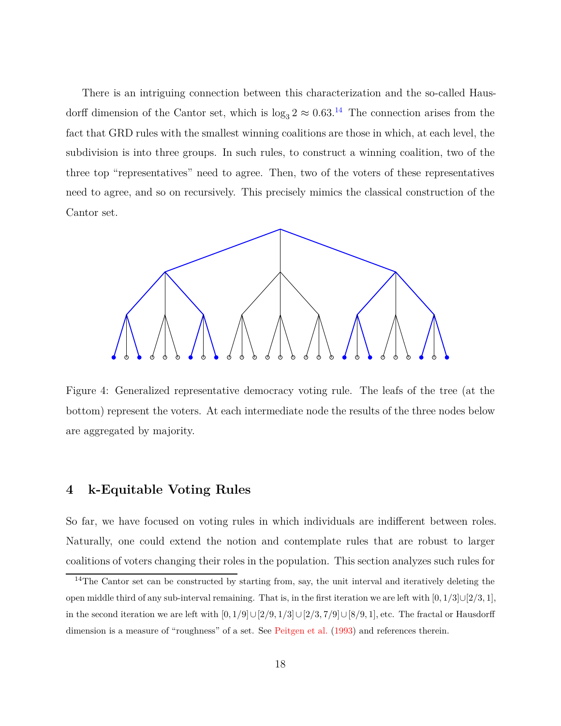There is an intriguing connection between this characterization and the so-called Hausdorff dimension of the Cantor set, which is  $\log_3 2 \approx 0.63$ .<sup>[14](#page-17-1)</sup> The connection arises from the fact that GRD rules with the smallest winning coalitions are those in which, at each level, the subdivision is into three groups. In such rules, to construct a winning coalition, two of the three top "representatives" need to agree. Then, two of the voters of these representatives need to agree, and so on recursively. This precisely mimics the classical construction of the Cantor set.

<span id="page-17-0"></span>

Figure 4: Generalized representative democracy voting rule. The leafs of the tree (at the bottom) represent the voters. At each intermediate node the results of the three nodes below are aggregated by majority.

## **4 k-Equitable Voting Rules**

So far, we have focused on voting rules in which individuals are indifferent between roles. Naturally, one could extend the notion and contemplate rules that are robust to larger coalitions of voters changing their roles in the population. This section analyzes such rules for

<span id="page-17-1"></span><sup>&</sup>lt;sup>14</sup>The Cantor set can be constructed by starting from, say, the unit interval and iteratively deleting the open middle third of any sub-interval remaining. That is, in the first iteration we are left with [0*,* 1*/*3]∪[2*/*3*,* 1], in the second iteration we are left with  $[0,1/9] \cup [2/9,1/3] \cup [2/3,7/9] \cup [8/9,1]$ , etc. The fractal or Hausdorff dimension is a measure of "roughness" of a set. See [Peitgen et al.](#page-41-6) [\(1993\)](#page-41-6) and references therein.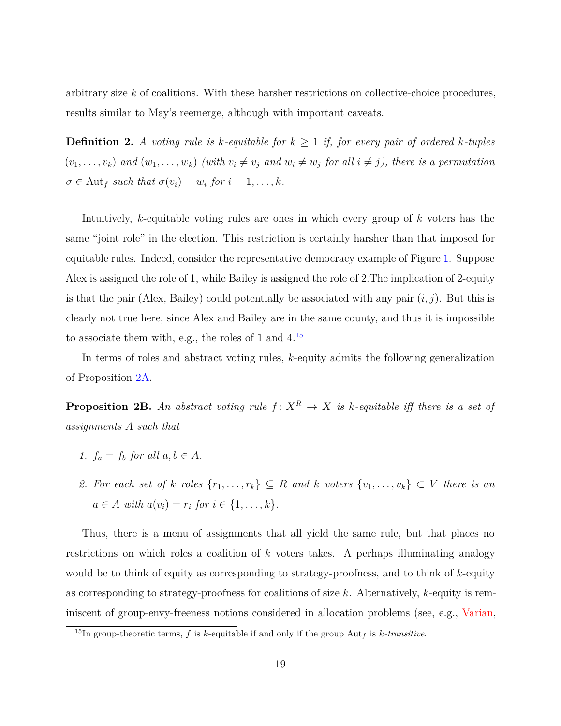arbitrary size *k* of coalitions. With these harsher restrictions on collective-choice procedures, results similar to May's reemerge, although with important caveats.

**Definition 2.** *A voting rule is k-equitable for*  $k \geq 1$  *if, for every pair of ordered k-tuples*  $(v_1,\ldots,v_k)$  and  $(w_1,\ldots,w_k)$  (with  $v_i\neq v_j$  and  $w_i\neq w_j$  for all  $i\neq j$ ), there is a permutation  $\sigma \in$  Aut<sub>f</sub> such that  $\sigma(v_i) = w_i$  for  $i = 1, ..., k$ .

Intuitively, *k*-equitable voting rules are ones in which every group of *k* voters has the same "joint role" in the election. This restriction is certainly harsher than that imposed for equitable rules. Indeed, consider the representative democracy example of Figure [1.](#page-2-0) Suppose Alex is assigned the role of 1, while Bailey is assigned the role of 2.The implication of 2-equity is that the pair (Alex, Bailey) could potentially be associated with any pair  $(i, j)$ . But this is clearly not true here, since Alex and Bailey are in the same county, and thus it is impossible to associate them with, e.g., the roles of 1 and  $4^{15}$  $4^{15}$  $4^{15}$ 

In terms of roles and abstract voting rules, *k*-equity admits the following generalization of Proposition [2A.](#page-12-1)

<span id="page-18-1"></span>**Proposition 2B.** An abstract voting rule  $f: X^R \to X$  is k-equitable iff there is a set of *assignments A such that*

- *1.*  $f_a = f_b$  *for all*  $a, b \in A$ *.*
- *2. For each set of k roles*  $\{r_1, \ldots, r_k\}$  ⊆ *R and k voters*  $\{v_1, \ldots, v_k\}$  ⊂ *V there is an*  $a \in A$  *with*  $a(v_i) = r_i$  *for*  $i \in \{1, ..., k\}$ *.*

Thus, there is a menu of assignments that all yield the same rule, but that places no restrictions on which roles a coalition of *k* voters takes. A perhaps illuminating analogy would be to think of equity as corresponding to strategy-proofness, and to think of *k*-equity as corresponding to strategy-proofness for coalitions of size *k*. Alternatively, *k*-equity is reminiscent of group-envy-freeness notions considered in allocation problems (see, e.g., [Varian](#page-42-1),

<span id="page-18-0"></span><sup>&</sup>lt;sup>15</sup>In group-theoretic terms,  $f$  is  $k$ -equitable if and only if the group Aut<sub>f</sub> is  $k$ -transitive.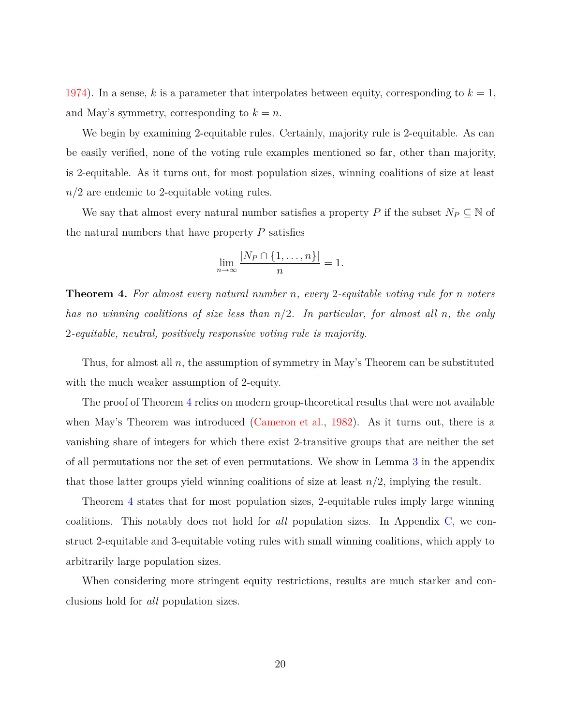[1974\)](#page-42-1). In a sense,  $k$  is a parameter that interpolates between equity, corresponding to  $k = 1$ , and May's symmetry, corresponding to  $k = n$ .

We begin by examining 2-equitable rules. Certainly, majority rule is 2-equitable. As can be easily verified, none of the voting rule examples mentioned so far, other than majority, is 2-equitable. As it turns out, for most population sizes, winning coalitions of size at least *n/*2 are endemic to 2-equitable voting rules.

We say that almost every natural number satisfies a property *P* if the subset  $N_P \subseteq \mathbb{N}$  of the natural numbers that have property *P* satisfies

$$
\lim_{n \to \infty} \frac{|N_P \cap \{1, \dots, n\}|}{n} = 1.
$$

<span id="page-19-0"></span>**Theorem 4.** *For almost every natural number n, every* 2*-equitable voting rule for n voters has no winning coalitions of size less than n/*2*. In particular, for almost all n, the only* 2*-equitable, neutral, positively responsive voting rule is majority.*

Thus, for almost all *n*, the assumption of symmetry in May's Theorem can be substituted with the much weaker assumption of 2-equity.

The proof of Theorem [4](#page-19-0) relies on modern group-theoretical results that were not available when May's Theorem was introduced [\(Cameron et al.](#page-40-6), [1982\)](#page-40-6). As it turns out, there is a vanishing share of integers for which there exist 2-transitive groups that are neither the set of all permutations nor the set of even permutations. We show in Lemma [3](#page-31-0) in the appendix that those latter groups yield winning coalitions of size at least  $n/2$ , implying the result.

Theorem [4](#page-19-0) states that for most population sizes, 2-equitable rules imply large winning coalitions. This notably does not hold for *all* population sizes. In Appendix [C,](#page-35-0) we construct 2-equitable and 3-equitable voting rules with small winning coalitions, which apply to arbitrarily large population sizes.

When considering more stringent equity restrictions, results are much starker and conclusions hold for *all* population sizes.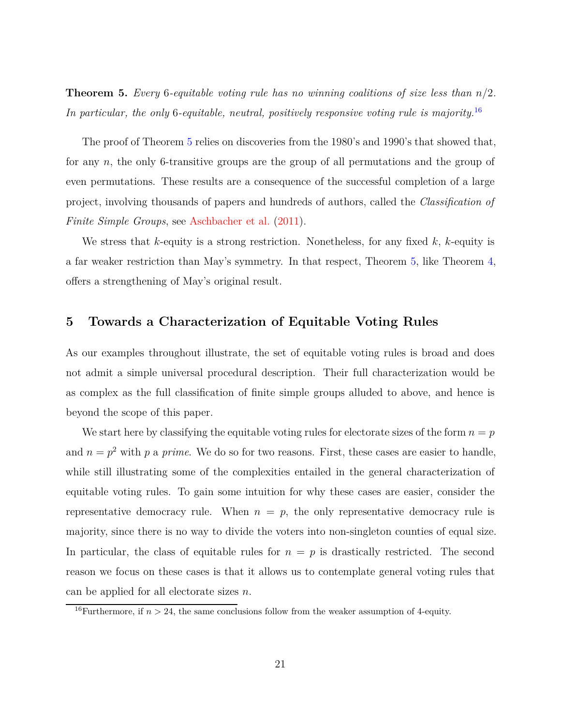<span id="page-20-0"></span>**Theorem 5.** *Every* 6*-equitable voting rule has no winning coalitions of size less than n/*2*. In particular, the only* 6*-equitable, neutral, positively responsive voting rule is majority.*[16](#page-20-1)

The proof of Theorem [5](#page-20-0) relies on discoveries from the 1980's and 1990's that showed that, for any *n*, the only 6-transitive groups are the group of all permutations and the group of even permutations. These results are a consequence of the successful completion of a large project, involving thousands of papers and hundreds of authors, called the *Classification of Finite Simple Groups*, see [Aschbacher et al.](#page-40-7) [\(2011\)](#page-40-7).

We stress that *k*-equity is a strong restriction. Nonetheless, for any fixed *k*, *k*-equity is a far weaker restriction than May's symmetry. In that respect, Theorem [5,](#page-20-0) like Theorem [4,](#page-19-0) offers a strengthening of May's original result.

## **5 Towards a Characterization of Equitable Voting Rules**

As our examples throughout illustrate, the set of equitable voting rules is broad and does not admit a simple universal procedural description. Their full characterization would be as complex as the full classification of finite simple groups alluded to above, and hence is beyond the scope of this paper.

We start here by classifying the equitable voting rules for electorate sizes of the form  $n = p$ and  $n = p^2$  with p a prime. We do so for two reasons. First, these cases are easier to handle, while still illustrating some of the complexities entailed in the general characterization of equitable voting rules. To gain some intuition for why these cases are easier, consider the representative democracy rule. When  $n = p$ , the only representative democracy rule is majority, since there is no way to divide the voters into non-singleton counties of equal size. In particular, the class of equitable rules for  $n = p$  is drastically restricted. The second reason we focus on these cases is that it allows us to contemplate general voting rules that can be applied for all electorate sizes *n*.

<span id="page-20-1"></span><sup>&</sup>lt;sup>16</sup>Furthermore, if  $n > 24$ , the same conclusions follow from the weaker assumption of 4-equity.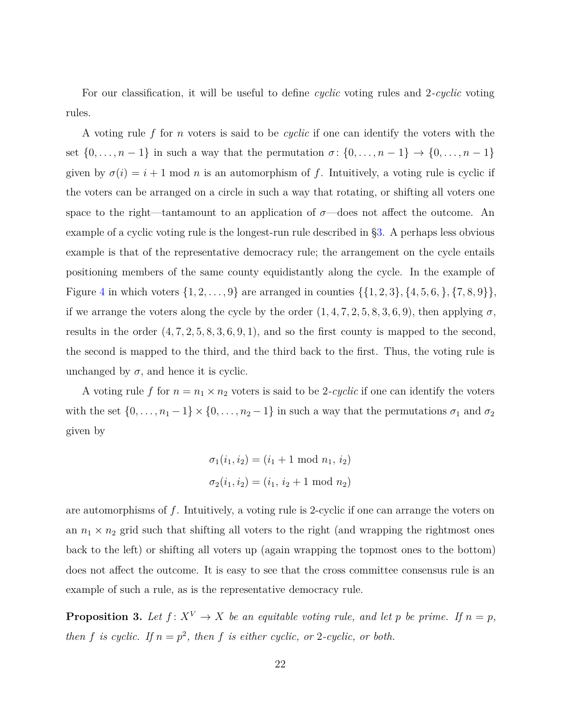For our classification, it will be useful to define *cyclic* voting rules and 2*-cyclic* voting rules.

A voting rule *f* for *n* voters is said to be *cyclic* if one can identify the voters with the set  $\{0, \ldots, n-1\}$  in such a way that the permutation  $\sigma \colon \{0, \ldots, n-1\} \to \{0, \ldots, n-1\}$ given by  $\sigma(i) = i + 1 \text{ mod } n$  is an automorphism of *f*. Intuitively, a voting rule is cyclic if the voters can be arranged on a circle in such a way that rotating, or shifting all voters one space to the right—tantamount to an application of  $\sigma$ —does not affect the outcome. An example of a cyclic voting rule is the longest-run rule described in [§3.](#page-13-2) A perhaps less obvious example is that of the representative democracy rule; the arrangement on the cycle entails positioning members of the same county equidistantly along the cycle. In the example of Figure [4](#page-17-0) in which voters  $\{1, 2, \ldots, 9\}$  are arranged in counties  $\{\{1, 2, 3\}, \{4, 5, 6, \}, \{7, 8, 9\}\},\$ if we arrange the voters along the cycle by the order  $(1, 4, 7, 2, 5, 8, 3, 6, 9)$ , then applying  $\sigma$ , results in the order  $(4, 7, 2, 5, 8, 3, 6, 9, 1)$ , and so the first county is mapped to the second, the second is mapped to the third, and the third back to the first. Thus, the voting rule is unchanged by  $\sigma$ , and hence it is cyclic.

A voting rule f for  $n = n_1 \times n_2$  voters is said to be 2-cyclic if one can identify the voters with the set  $\{0, \ldots, n_1 - 1\} \times \{0, \ldots, n_2 - 1\}$  in such a way that the permutations  $\sigma_1$  and  $\sigma_2$ given by

$$
\sigma_1(i_1, i_2) = (i_1 + 1 \mod n_1, i_2)
$$

$$
\sigma_2(i_1, i_2) = (i_1, i_2 + 1 \mod n_2)
$$

are automorphisms of *f*. Intuitively, a voting rule is 2-cyclic if one can arrange the voters on an  $n_1 \times n_2$  grid such that shifting all voters to the right (and wrapping the rightmost ones back to the left) or shifting all voters up (again wrapping the topmost ones to the bottom) does not affect the outcome. It is easy to see that the cross committee consensus rule is an example of such a rule, as is the representative democracy rule.

<span id="page-21-0"></span>**Proposition 3.** Let  $f: X^V \to X$  be an equitable voting rule, and let p be prime. If  $n = p$ , *then f is cyclic.* If  $n = p^2$ , *then f is either cyclic, or* 2*-cyclic, or both.*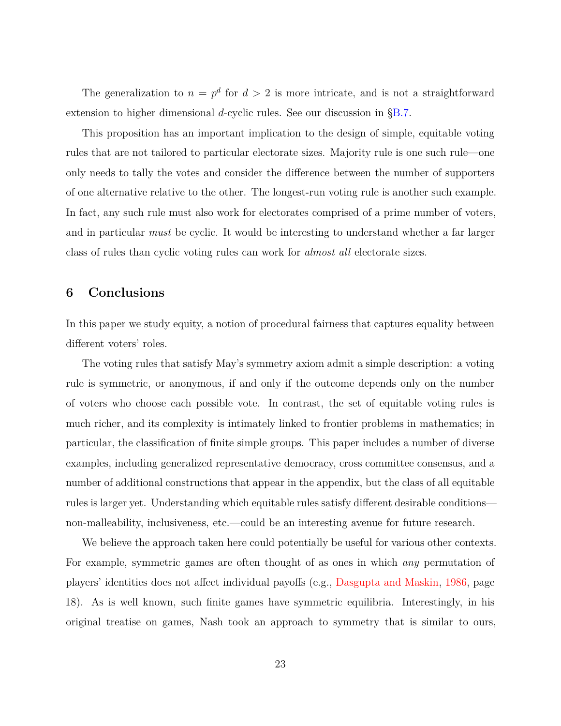The generalization to  $n = p^d$  for  $d > 2$  is more intricate, and is not a straightforward extension to higher dimensional *d*-cyclic rules. See our discussion in [§B.7.](#page-32-0)

This proposition has an important implication to the design of simple, equitable voting rules that are not tailored to particular electorate sizes. Majority rule is one such rule—one only needs to tally the votes and consider the difference between the number of supporters of one alternative relative to the other. The longest-run voting rule is another such example. In fact, any such rule must also work for electorates comprised of a prime number of voters, and in particular *must* be cyclic. It would be interesting to understand whether a far larger class of rules than cyclic voting rules can work for *almost all* electorate sizes.

## **6 Conclusions**

In this paper we study equity, a notion of procedural fairness that captures equality between different voters' roles.

The voting rules that satisfy May's symmetry axiom admit a simple description: a voting rule is symmetric, or anonymous, if and only if the outcome depends only on the number of voters who choose each possible vote. In contrast, the set of equitable voting rules is much richer, and its complexity is intimately linked to frontier problems in mathematics; in particular, the classification of finite simple groups. This paper includes a number of diverse examples, including generalized representative democracy, cross committee consensus, and a number of additional constructions that appear in the appendix, but the class of all equitable rules is larger yet. Understanding which equitable rules satisfy different desirable conditions non-malleability, inclusiveness, etc.—could be an interesting avenue for future research.

We believe the approach taken here could potentially be useful for various other contexts. For example, symmetric games are often thought of as ones in which *any* permutation of players' identities does not affect individual payoffs (e.g., [Dasgupta and Maskin](#page-40-8), [1986,](#page-40-8) page 18). As is well known, such finite games have symmetric equilibria. Interestingly, in his original treatise on games, Nash took an approach to symmetry that is similar to ours,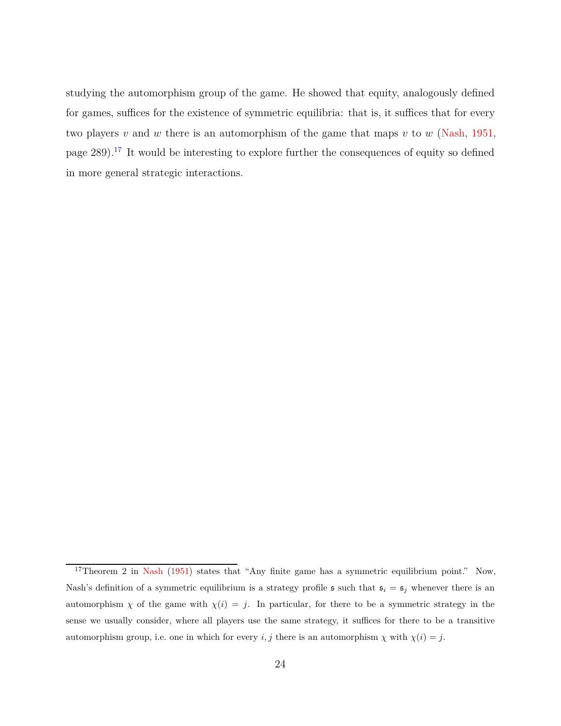studying the automorphism group of the game. He showed that equity, analogously defined for games, suffices for the existence of symmetric equilibria: that is, it suffices that for every two players *v* and *w* there is an automorphism of the game that maps *v* to *w* [\(Nash](#page-41-7), [1951](#page-41-7), page  $289$ ).<sup>[17](#page-23-0)</sup> It would be interesting to explore further the consequences of equity so defined in more general strategic interactions.

<span id="page-23-0"></span><sup>&</sup>lt;sup>17</sup>Theorem 2 in [Nash](#page-41-7) [\(1951\)](#page-41-7) states that "Any finite game has a symmetric equilibrium point." Now, Nash's definition of a symmetric equilibrium is a strategy profile  $\mathfrak{s}$  such that  $\mathfrak{s}_i = \mathfrak{s}_j$  whenever there is an automorphism *χ* of the game with  $\chi(i) = j$ . In particular, for there to be a symmetric strategy in the sense we usually consider, where all players use the same strategy, it suffices for there to be a transitive automorphism group, i.e. one in which for every *i, j* there is an automorphism  $\chi$  with  $\chi(i) = j$ .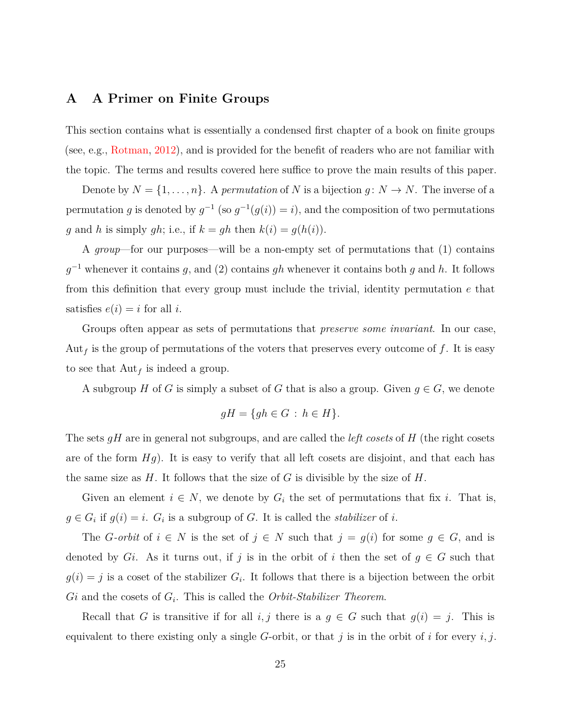## <span id="page-24-0"></span>**A A Primer on Finite Groups**

This section contains what is essentially a condensed first chapter of a book on finite groups (see, e.g., [Rotman](#page-41-8), [2012](#page-41-8)), and is provided for the benefit of readers who are not familiar with the topic. The terms and results covered here suffice to prove the main results of this paper.

Denote by  $N = \{1, \ldots, n\}$ . A *permutation* of *N* is a bijection  $g: N \to N$ . The inverse of a permutation *g* is denoted by  $g^{-1}$  (so  $g^{-1}(g(i)) = i$ ), and the composition of two permutations *g* and *h* is simply *gh*; i.e., if  $k = gh$  then  $k(i) = g(h(i))$ .

A *group*—for our purposes—will be a non-empty set of permutations that (1) contains *g* <sup>−</sup><sup>1</sup> whenever it contains *g*, and (2) contains *gh* whenever it contains both *g* and *h*. It follows from this definition that every group must include the trivial, identity permutation *e* that satisfies  $e(i) = i$  for all *i*.

Groups often appear as sets of permutations that *preserve some invariant*. In our case, Aut*<sup>f</sup>* is the group of permutations of the voters that preserves every outcome of *f*. It is easy to see that Aut*<sup>f</sup>* is indeed a group.

A subgroup *H* of *G* is simply a subset of *G* that is also a group. Given  $g \in G$ , we denote

$$
gH = \{gh \in G \,:\, h \in H\}.
$$

The sets *gH* are in general not subgroups, and are called the *left cosets* of *H* (the right cosets are of the form *Hg*). It is easy to verify that all left cosets are disjoint, and that each has the same size as *H*. It follows that the size of *G* is divisible by the size of *H*.

Given an element  $i \in N$ , we denote by  $G_i$  the set of permutations that fix *i*. That is,  $g \in G_i$  if  $g(i) = i$ .  $G_i$  is a subgroup of *G*. It is called the *stabilizer* of *i*.

The *G*-orbit of  $i \in N$  is the set of  $j \in N$  such that  $j = g(i)$  for some  $g \in G$ , and is denoted by *Gi*. As it turns out, if *j* is in the orbit of *i* then the set of  $g \in G$  such that  $g(i) = j$  is a coset of the stabilizer  $G_i$ . It follows that there is a bijection between the orbit *Gi* and the cosets of *G<sup>i</sup>* . This is called the *Orbit-Stabilizer Theorem*.

Recall that *G* is transitive if for all *i, j* there is a  $g \in G$  such that  $g(i) = j$ . This is equivalent to there existing only a single *G*-orbit, or that *j* is in the orbit of *i* for every *i, j*.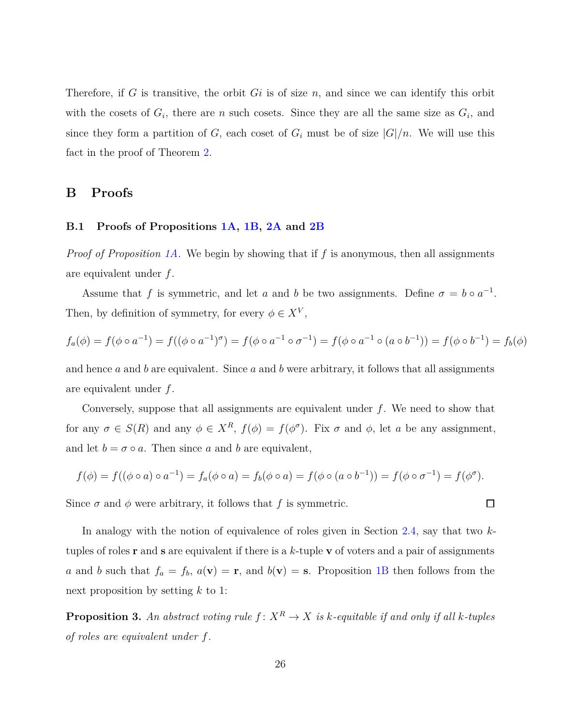Therefore, if *G* is transitive, the orbit *Gi* is of size *n*, and since we can identify this orbit with the cosets of  $G_i$ , there are *n* such cosets. Since they are all the same size as  $G_i$ , and since they form a partition of *G*, each coset of  $G_i$  must be of size  $|G|/n$ . We will use this fact in the proof of Theorem [2.](#page-15-1)

## **B Proofs**

## **B.1 Proofs of Propositions [1A,](#page-11-0) [1B,](#page-12-0) [2A](#page-12-1) and [2B](#page-18-1)**

*Proof of Proposition [1A.](#page-11-0)* We begin by showing that if *f* is anonymous, then all assignments are equivalent under *f*.

Assume that *f* is symmetric, and let *a* and *b* be two assignments. Define  $\sigma = b \circ a^{-1}$ . Then, by definition of symmetry, for every  $\phi \in X^V$ ,

$$
f_a(\phi) = f(\phi \circ a^{-1}) = f((\phi \circ a^{-1})^{\sigma}) = f(\phi \circ a^{-1} \circ \sigma^{-1}) = f(\phi \circ a^{-1} \circ (a \circ b^{-1})) = f(\phi \circ b^{-1}) = f_b(\phi)
$$

and hence *a* and *b* are equivalent. Since *a* and *b* were arbitrary, it follows that all assignments are equivalent under *f*.

Conversely, suppose that all assignments are equivalent under *f*. We need to show that for any  $\sigma \in S(R)$  and any  $\phi \in X^R$ ,  $f(\phi) = f(\phi^{\sigma})$ . Fix  $\sigma$  and  $\phi$ , let *a* be any assignment, and let  $b = \sigma \circ a$ . Then since *a* and *b* are equivalent,

$$
f(\phi) = f((\phi \circ a) \circ a^{-1}) = f_a(\phi \circ a) = f_b(\phi \circ a) = f(\phi \circ (a \circ b^{-1})) = f(\phi \circ \sigma^{-1}) = f(\phi^{\sigma}).
$$

 $\Box$ 

Since  $\sigma$  and  $\phi$  were arbitrary, it follows that f is symmetric.

In analogy with the notion of equivalence of roles given in Section [2.4,](#page-9-0) say that two *k*tuples of roles **r** and **s** are equivalent if there is a *k*-tuple **v** of voters and a pair of assignments *a* and *b* such that  $f_a = f_b$ ,  $a(\mathbf{v}) = \mathbf{r}$ , and  $b(\mathbf{v}) = \mathbf{s}$ . Proposition [1B](#page-12-0) then follows from the next proposition by setting *k* to 1:

<span id="page-25-0"></span>**Proposition 3.** An abstract voting rule  $f: X^R \to X$  is k-equitable if and only if all k-tuples *of roles are equivalent under f.*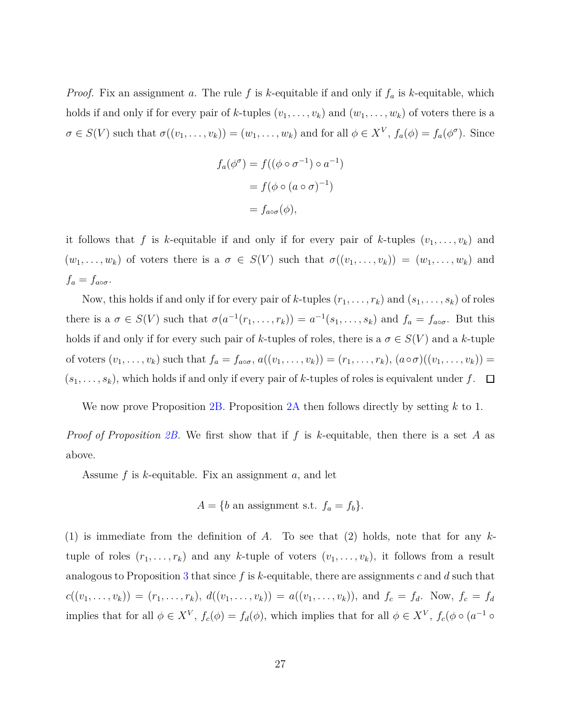*Proof.* Fix an assignment *a*. The rule *f* is *k*-equitable if and only if *f<sup>a</sup>* is *k*-equitable, which holds if and only if for every pair of *k*-tuples  $(v_1, \ldots, v_k)$  and  $(w_1, \ldots, w_k)$  of voters there is a  $\sigma \in S(V)$  such that  $\sigma((v_1,\ldots,v_k)) = (w_1,\ldots,w_k)$  and for all  $\phi \in X^V$ ,  $f_a(\phi) = f_a(\phi^{\sigma})$ . Since

$$
f_a(\phi^\sigma) = f((\phi \circ \sigma^{-1}) \circ a^{-1})
$$

$$
= f(\phi \circ (a \circ \sigma)^{-1})
$$

$$
= f_{a \circ \sigma}(\phi),
$$

it follows that *f* is *k*-equitable if and only if for every pair of *k*-tuples  $(v_1, \ldots, v_k)$  and  $(w_1, \ldots, w_k)$  of voters there is a  $\sigma \in S(V)$  such that  $\sigma((v_1, \ldots, v_k)) = (w_1, \ldots, w_k)$  and  $f_a = f_{a \circ \sigma}$ .

Now, this holds if and only if for every pair of *k*-tuples  $(r_1, \ldots, r_k)$  and  $(s_1, \ldots, s_k)$  of roles there is a  $\sigma \in S(V)$  such that  $\sigma(a^{-1}(r_1, \ldots, r_k)) = a^{-1}(s_1, \ldots, s_k)$  and  $f_a = f_{a \circ \sigma}$ . But this holds if and only if for every such pair of *k*-tuples of roles, there is a  $\sigma \in S(V)$  and a *k*-tuple of voters  $(v_1, \ldots, v_k)$  such that  $f_a = f_{a \circ \sigma}$ ,  $a((v_1, \ldots, v_k)) = (r_1, \ldots, r_k)$ ,  $(a \circ \sigma)((v_1, \ldots, v_k)) =$  $(s_1, \ldots, s_k)$ , which holds if and only if every pair of *k*-tuples of roles is equivalent under  $f$ .  $\Box$ 

We now prove Proposition [2B.](#page-18-1) Proposition [2A](#page-12-1) then follows directly by setting *k* to 1.

*Proof of Proposition [2B.](#page-18-1)* We first show that if *f* is *k*-equitable, then there is a set *A* as above.

Assume *f* is *k*-equitable. Fix an assignment *a*, and let

$$
A = \{b \text{ an assignment s.t. } f_a = f_b\}.
$$

(1) is immediate from the definition of *A*. To see that (2) holds, note that for any *k*tuple of roles  $(r_1, \ldots, r_k)$  and any *k*-tuple of voters  $(v_1, \ldots, v_k)$ , it follows from a result analogous to Proposition [3](#page-25-0) that since *f* is *k*-equitable, there are assignments *c* and *d* such that  $c((v_1,\ldots,v_k)) = (r_1,\ldots,r_k), d((v_1,\ldots,v_k)) = a((v_1,\ldots,v_k)),$  and  $f_c = f_d$ . Now,  $f_c = f_d$ implies that for all  $\phi \in X^V$ ,  $f_c(\phi) = f_d(\phi)$ , which implies that for all  $\phi \in X^V$ ,  $f_c(\phi \circ (a^{-1} \circ$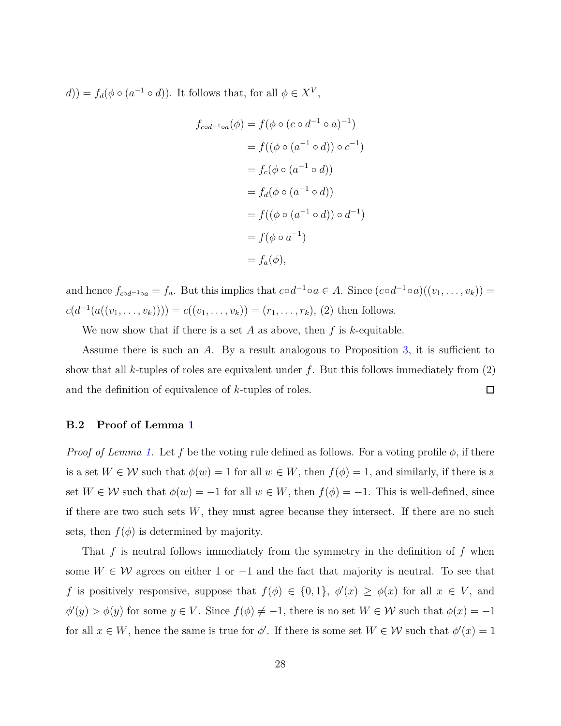$d$ )) =  $f_d(\phi \circ (a^{-1} \circ d))$ . It follows that, for all  $\phi \in X^V$ ,

$$
f_{\text{cod}^{-1}\circ a}(\phi) = f(\phi \circ (c \circ d^{-1} \circ a)^{-1})
$$
  

$$
= f((\phi \circ (a^{-1} \circ d)) \circ c^{-1})
$$
  

$$
= f_c(\phi \circ (a^{-1} \circ d))
$$
  

$$
= f_d(\phi \circ (a^{-1} \circ d))
$$
  

$$
= f((\phi \circ (a^{-1} \circ d)) \circ d^{-1})
$$
  

$$
= f(\phi \circ a^{-1})
$$
  

$$
= f_a(\phi),
$$

and hence  $f_{cod^{-1} \circ a} = f_a$ . But this implies that  $\text{cod}^{-1} \circ a \in A$ . Since  $(\text{cod}^{-1} \circ a)((v_1, \ldots, v_k)) =$  $c(d^{-1}(a((v_1, \ldots, v_k)))) = c((v_1, \ldots, v_k)) = (r_1, \ldots, r_k), (2)$  then follows.

We now show that if there is a set *A* as above, then *f* is *k*-equitable.

Assume there is such an *A*. By a result analogous to Proposition [3,](#page-25-0) it is sufficient to show that all *k*-tuples of roles are equivalent under *f*. But this follows immediately from (2) and the definition of equivalence of *k*-tuples of roles.  $\Box$ 

## **B.2 Proof of Lemma [1](#page-13-0)**

*Proof of Lemma [1.](#page-13-0)* Let f be the voting rule defined as follows. For a voting profile  $\phi$ , if there is a set  $W \in \mathcal{W}$  such that  $\phi(w) = 1$  for all  $w \in W$ , then  $f(\phi) = 1$ , and similarly, if there is a set  $W \in \mathcal{W}$  such that  $\phi(w) = -1$  for all  $w \in W$ , then  $f(\phi) = -1$ . This is well-defined, since if there are two such sets  $W$ , they must agree because they intersect. If there are no such sets, then  $f(\phi)$  is determined by majority.

That *f* is neutral follows immediately from the symmetry in the definition of *f* when some  $W \in \mathcal{W}$  agrees on either 1 or  $-1$  and the fact that majority is neutral. To see that *f* is positively responsive, suppose that  $f(\phi) \in \{0, 1\}$ ,  $\phi'(x) \ge \phi(x)$  for all  $x \in V$ , and  $\phi'(y) > \phi(y)$  for some  $y \in V$ . Since  $f(\phi) \neq -1$ , there is no set  $W \in \mathcal{W}$  such that  $\phi(x) = -1$ for all  $x \in W$ , hence the same is true for  $\phi'$ . If there is some set  $W \in \mathcal{W}$  such that  $\phi'(x) = 1$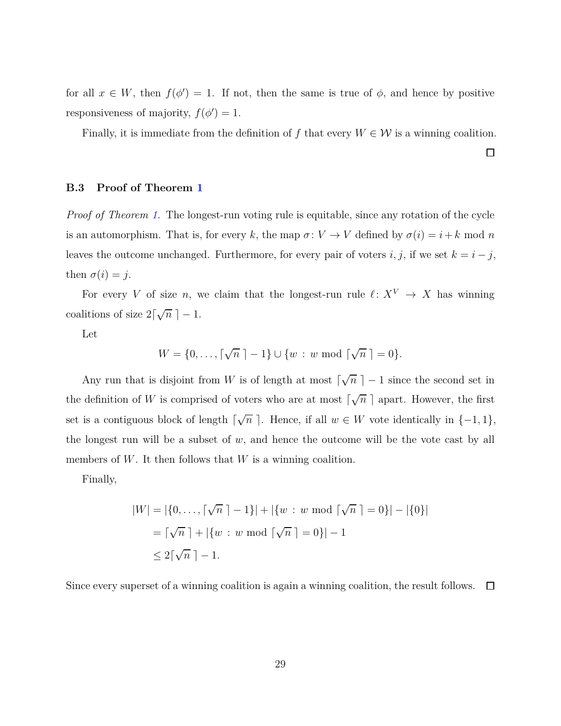for all  $x \in W$ , then  $f(\phi') = 1$ . If not, then the same is true of  $\phi$ , and hence by positive responsiveness of majority,  $f(\phi') = 1$ .

Finally, it is immediate from the definition of  $f$  that every  $W \in \mathcal{W}$  is a winning coalition.

 $\Box$ 

#### **B.3 Proof of Theorem [1](#page-13-1)**

*Proof of Theorem [1.](#page-13-1)* The longest-run voting rule is equitable, since any rotation of the cycle is an automorphism. That is, for every *k*, the map  $\sigma: V \to V$  defined by  $\sigma(i) = i + k \mod n$ leaves the outcome unchanged. Furthermore, for every pair of voters *i*, *j*, if we set  $k = i - j$ , then  $\sigma(i) = j$ .

For every *V* of size *n*, we claim that the longest-run rule  $\ell: X^V \to X$  has winning coalitions of size  $2\lceil \sqrt{n} \rceil - 1$ .

Let

$$
W = \{0, \ldots, \lceil \sqrt{n} \rceil - 1\} \cup \{w : w \bmod \lceil \sqrt{n} \rceil = 0\}.
$$

Any run that is disjoint from *W* is of length at most  $\lceil \sqrt{n} \rceil - 1$  since the second set in the definition of *W* is comprised of voters who are at most  $\lceil \sqrt{n} \rceil$  apart. However, the first set is a contiguous block of length  $\lceil \sqrt{n} \rceil$ . Hence, if all  $w \in W$  vote identically in  $\{-1, 1\}$ , the longest run will be a subset of  $w$ , and hence the outcome will be the vote cast by all members of W. It then follows that W is a winning coalition.

Finally,

$$
|W| = |\{0, ..., \lceil \sqrt{n} \rceil - 1\}| + |\{w : w \bmod \lceil \sqrt{n} \rceil = 0\}| - |\{0\}|
$$
  
=  $\lceil \sqrt{n} \rceil + |\{w : w \bmod \lceil \sqrt{n} \rceil = 0\}| - 1$   
 $\leq 2\lceil \sqrt{n} \rceil - 1.$ 

Since every superset of a winning coalition is again a winning coalition, the result follows.  $\Box$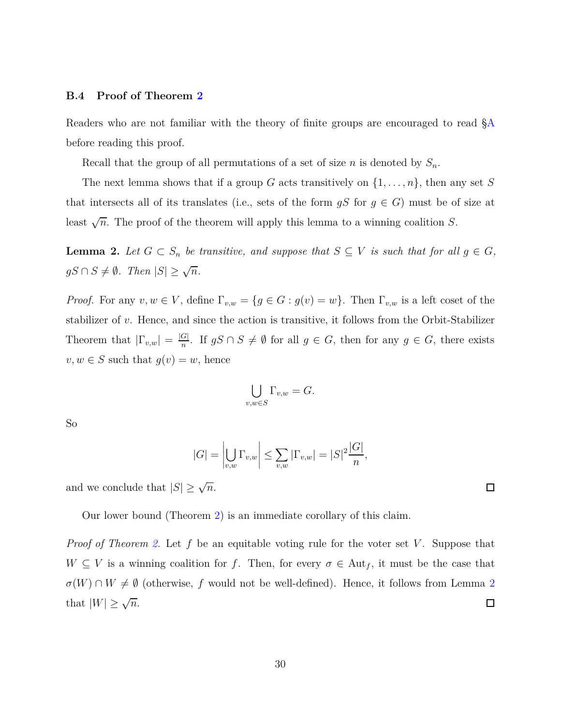#### **B.4 Proof of Theorem [2](#page-15-1)**

Readers who are not familiar with the theory of finite groups are encouraged to read [§A](#page-24-0) before reading this proof.

Recall that the group of all permutations of a set of size *n* is denoted by *Sn*.

The next lemma shows that if a group *G* acts transitively on  $\{1, \ldots, n\}$ , then any set *S* that intersects all of its translates (i.e., sets of the form  $gS$  for  $g \in G$ ) must be of size at least  $\sqrt{n}$ . The proof of the theorem will apply this lemma to a winning coalition *S*.

<span id="page-29-0"></span>**Lemma 2.** Let  $G \subset S_n$  be transitive, and suppose that  $S \subseteq V$  is such that for all  $g \in G$ ,  $gS \cap S \neq \emptyset$ *. Then*  $|S| \geq \sqrt{n}$ *.* 

*Proof.* For any  $v, w \in V$ , define  $\Gamma_{v,w} = \{g \in G : g(v) = w\}$ . Then  $\Gamma_{v,w}$  is a left coset of the stabilizer of *v*. Hence, and since the action is transitive, it follows from the Orbit-Stabilizer Theorem that  $|\Gamma_{v,w}| = \frac{|G|}{n}$ *n*  $\frac{G_1}{n}$ . If *gS* ∩ *S*  $\neq$  ∅ for all *g* ∈ *G*, then for any *g* ∈ *G*, there exists  $v, w \in S$  such that  $g(v) = w$ , hence

$$
\bigcup_{v,w \in S} \Gamma_{v,w} = G.
$$

So

$$
|G| = \left| \bigcup_{v,w} \Gamma_{v,w} \right| \le \sum_{v,w} |\Gamma_{v,w}| = |S|^2 \frac{|G|}{n},
$$

and we conclude that  $|S| \ge \sqrt{n}$ .

Our lower bound (Theorem [2\)](#page-15-1) is an immediate corollary of this claim.

*Proof of Theorem [2.](#page-15-1)* Let f be an equitable voting rule for the voter set *V*. Suppose that  $W \subseteq V$  is a winning coalition for *f*. Then, for every  $\sigma \in \text{Aut}_f$ , it must be the case that  $\sigma(W) \cap W \neq \emptyset$  (otherwise, *f* would not be well-defined). Hence, it follows from Lemma [2](#page-29-0) that  $|W| \geq \sqrt{n}$ .  $\Box$ 

 $\Box$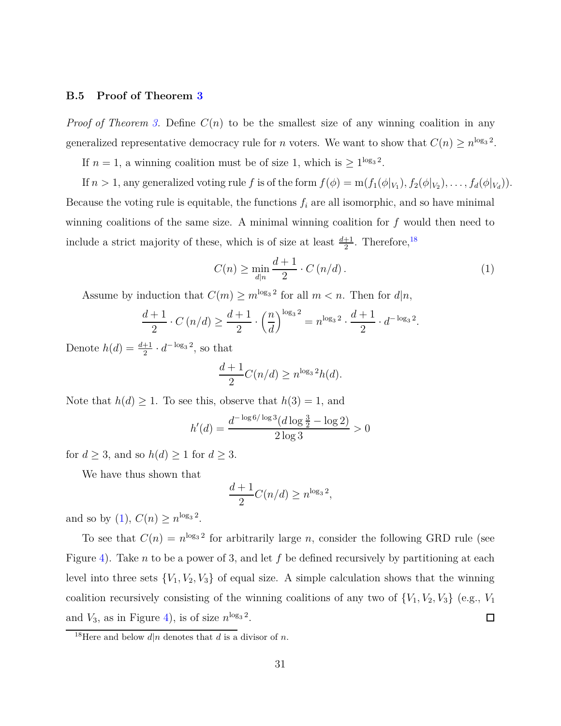#### **B.5 Proof of Theorem [3](#page-16-1)**

*Proof of Theorem [3.](#page-16-1)* Define  $C(n)$  to be the smallest size of any winning coalition in any generalized representative democracy rule for *n* voters. We want to show that  $C(n) \ge n^{\log_3 2}$ .

If  $n = 1$ , a winning coalition must be of size 1, which is  $\geq 1^{\log_3 2}$ .

If  $n > 1$ , any generalized voting rule  $f$  is of the form  $f(\phi) = m(f_1(\phi|_{V_1}), f_2(\phi|_{V_2}), \ldots, f_d(\phi|_{V_d}))$ . Because the voting rule is equitable, the functions  $f_i$  are all isomorphic, and so have minimal winning coalitions of the same size. A minimal winning coalition for *f* would then need to include a strict majority of these, which is of size at least  $\frac{d+1}{2}$ . Therefore,<sup>[18](#page-30-0)</sup>

<span id="page-30-1"></span>
$$
C(n) \ge \min_{d|n} \frac{d+1}{2} \cdot C(n/d). \tag{1}
$$

Assume by induction that  $C(m) \ge m^{\log_3 2}$  for all  $m < n$ . Then for  $d|n$ ,

$$
\frac{d+1}{2} \cdot C\left(n/d\right) \ge \frac{d+1}{2} \cdot \left(\frac{n}{d}\right)^{\log_3 2} = n^{\log_3 2} \cdot \frac{d+1}{2} \cdot d^{-\log_3 2}.
$$

Denote  $h(d) = \frac{d+1}{2} \cdot d^{-\log_3 2}$ , so that

$$
\frac{d+1}{2}C(n/d) \ge n^{\log_3 2}h(d).
$$

Note that  $h(d) \geq 1$ . To see this, observe that  $h(3) = 1$ , and

$$
h'(d) = \frac{d^{-\log 6/\log 3} (d \log \frac{3}{2} - \log 2)}{2 \log 3} > 0
$$

for  $d \geq 3$ , and so  $h(d) \geq 1$  for  $d \geq 3$ .

We have thus shown that

$$
\frac{d+1}{2}C(n/d) \ge n^{\log_3 2},
$$

and so by [\(1\)](#page-30-1),  $C(n) \ge n^{\log_3 2}$ .

To see that  $C(n) = n^{\log_3 2}$  for arbitrarily large *n*, consider the following GRD rule (see Figure [4\)](#page-17-0). Take *n* to be a power of 3, and let *f* be defined recursively by partitioning at each level into three sets  ${V_1, V_2, V_3}$  of equal size. A simple calculation shows that the winning coalition recursively consisting of the winning coalitions of any two of  $\{V_1, V_2, V_3\}$  (e.g.,  $V_1$ ) and  $V_3$ , as in Figure [4\)](#page-17-0), is of size  $n^{\log_3 2}$ .  $\Box$ 

<span id="page-30-0"></span><sup>&</sup>lt;sup>18</sup>Here and below  $d|n$  denotes that  $d$  is a divisor of  $n$ .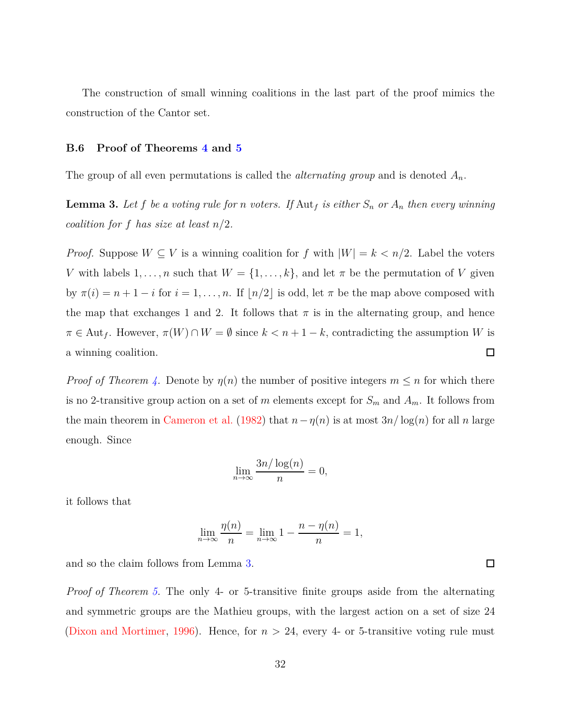The construction of small winning coalitions in the last part of the proof mimics the construction of the Cantor set.

#### **B.6 Proof of Theorems [4](#page-19-0) and [5](#page-20-0)**

The group of all even permutations is called the *alternating group* and is denoted *An*.

<span id="page-31-0"></span>**Lemma 3.** Let f be a voting rule for *n* voters. If  $\text{Aut}_f$  is either  $S_n$  or  $A_n$  then every winning *coalition for f has size at least n/*2*.*

*Proof.* Suppose  $W \subseteq V$  is a winning coalition for f with  $|W| = k < n/2$ . Label the voters *V* with labels  $1, \ldots, n$  such that  $W = \{1, \ldots, k\}$ , and let  $\pi$  be the permutation of *V* given by  $\pi(i) = n + 1 - i$  for  $i = 1, ..., n$ . If  $\lfloor n/2 \rfloor$  is odd, let  $\pi$  be the map above composed with the map that exchanges 1 and 2. It follows that  $\pi$  is in the alternating group, and hence  $\pi \in$  Aut<sub>f</sub>. However,  $\pi(W) \cap W = \emptyset$  since  $k < n + 1 - k$ , contradicting the assumption *W* is  $\Box$ a winning coalition.

*Proof of Theorem [4.](#page-19-0)* Denote by  $\eta(n)$  the number of positive integers  $m \leq n$  for which there is no 2-transitive group action on a set of *m* elements except for  $S_m$  and  $A_m$ . It follows from the main theorem in [Cameron et al.](#page-40-6) [\(1982\)](#page-40-6) that  $n - \eta(n)$  is at most  $3n/\log(n)$  for all *n* large enough. Since

$$
\lim_{n \to \infty} \frac{3n/\log(n)}{n} = 0,
$$

it follows that

$$
\lim_{n \to \infty} \frac{\eta(n)}{n} = \lim_{n \to \infty} 1 - \frac{n - \eta(n)}{n} = 1,
$$

and so the claim follows from Lemma [3.](#page-31-0)

*Proof of Theorem [5.](#page-20-0)* The only 4- or 5-transitive finite groups aside from the alternating and symmetric groups are the Mathieu groups, with the largest action on a set of size 24 [\(Dixon and Mortimer](#page-40-9), [1996\)](#page-40-9). Hence, for *n >* 24, every 4- or 5-transitive voting rule must

 $\Box$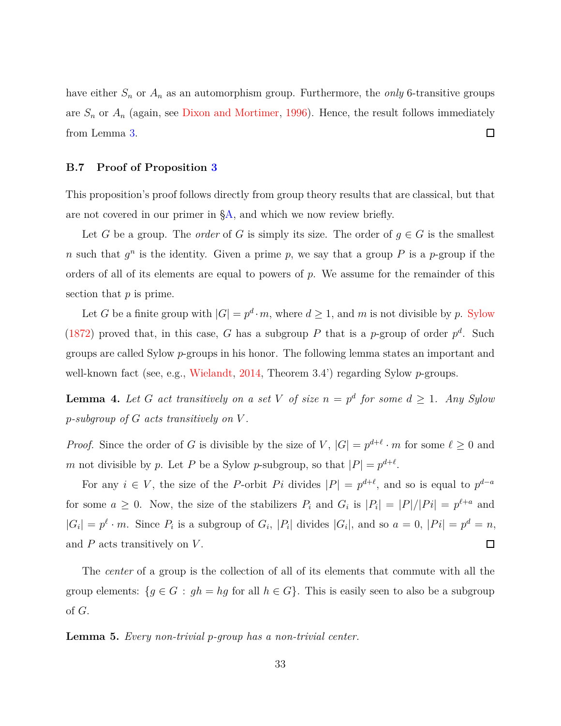have either  $S_n$  or  $A_n$  as an automorphism group. Furthermore, the *only* 6-transitive groups are  $S_n$  or  $A_n$  (again, see [Dixon and Mortimer,](#page-40-9) [1996](#page-40-9)). Hence, the result follows immediately  $\Box$ from Lemma [3.](#page-31-0)

#### <span id="page-32-0"></span>**B.7 Proof of Proposition [3](#page-21-0)**

This proposition's proof follows directly from group theory results that are classical, but that are not covered in our primer in [§A,](#page-24-0) and which we now review briefly.

Let *G* be a group. The *order* of *G* is simply its size. The order of  $g \in G$  is the smallest *n* such that  $g^n$  is the identity. Given a prime *p*, we say that a group *P* is a *p*-group if the orders of all of its elements are equal to powers of *p*. We assume for the remainder of this section that *p* is prime.

Let *G* be a finite group with  $|G| = p^d \cdot m$ , where  $d \ge 1$ , and *m* is not divisible by *p*. [Sylow](#page-42-2) [\(1872\)](#page-42-2) proved that, in this case, *G* has a subgroup *P* that is a *p*-group of order  $p^d$ . Such groups are called Sylow *p*-groups in his honor. The following lemma states an important and well-known fact (see, e.g., [Wielandt](#page-42-3), [2014,](#page-42-3) Theorem 3.4') regarding Sylow *p*-groups.

<span id="page-32-1"></span>**Lemma 4.** Let G act transitively on a set V of size  $n = p^d$  for some  $d \geq 1$ . Any Sylow *p-subgroup of G acts transitively on V .*

*Proof.* Since the order of *G* is divisible by the size of *V*,  $|G| = p^{d+\ell} \cdot m$  for some  $\ell \ge 0$  and *m* not divisible by *p*. Let *P* be a Sylow *p*-subgroup, so that  $|P| = p^{d+\ell}$ .

For any  $i \in V$ , the size of the *P*-orbit *Pi* divides  $|P| = p^{d+\ell}$ , and so is equal to  $p^{d-a}$ for some  $a \geq 0$ . Now, the size of the stabilizers  $P_i$  and  $G_i$  is  $|P_i| = |P|/|P_i| = p^{\ell+a}$  and  $|G_i| = p^{\ell} \cdot m$ . Since  $P_i$  is a subgroup of  $G_i$ ,  $|P_i|$  divides  $|G_i|$ , and so  $a = 0$ ,  $|Pi| = p^d = n$ ,  $\Box$ and *P* acts transitively on *V* .

The *center* of a group is the collection of all of its elements that commute with all the group elements:  ${g \in G : gh = hg \text{ for all } h \in G}$ . This is easily seen to also be a subgroup of *G*.

<span id="page-32-2"></span>**Lemma 5.** *Every non-trivial p-group has a non-trivial center.*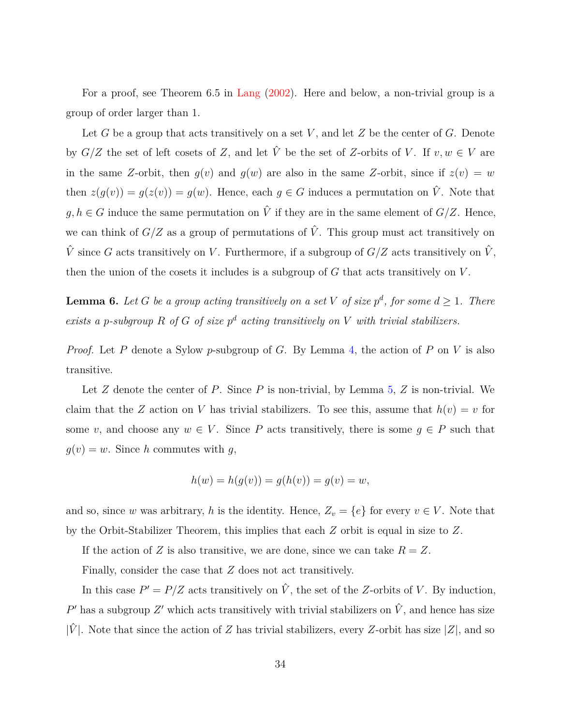For a proof, see Theorem 6.5 in [Lang](#page-41-9) [\(2002\)](#page-41-9). Here and below, a non-trivial group is a group of order larger than 1.

Let *G* be a group that acts transitively on a set *V* , and let *Z* be the center of *G*. Denote by  $G/Z$  the set of left cosets of *Z*, and let  $\hat{V}$  be the set of *Z*-orbits of *V*. If  $v, w \in V$  are in the same *Z*-orbit, then  $q(v)$  and  $q(w)$  are also in the same *Z*-orbit, since if  $z(v) = w$ then  $z(g(v)) = g(z(v)) = g(w)$ . Hence, each  $g \in G$  induces a permutation on  $\hat{V}$ . Note that *g, h* ∈ *G* induce the same permutation on  $\hat{V}$  if they are in the same element of *G*/*Z*. Hence, we can think of  $G/Z$  as a group of permutations of  $\hat{V}$ . This group must act transitively on  $\hat{V}$  since *G* acts transitively on *V*. Furthermore, if a subgroup of  $G/Z$  acts transitively on  $\hat{V}$ , then the union of the cosets it includes is a subgroup of *G* that acts transitively on *V* .

<span id="page-33-0"></span>**Lemma 6.** Let *G* be a group acting transitively on a set *V* of size  $p^d$ , for some  $d \geq 1$ . There *exists a p-subgroup*  $R$  *of*  $G$  *of size*  $p^d$  *acting transitively on*  $V$  *with trivial stabilizers.* 

*Proof.* Let *P* denote a Sylow *p*-subgroup of *G*. By Lemma [4,](#page-32-1) the action of *P* on *V* is also transitive.

Let *Z* denote the center of *P*. Since *P* is non-trivial, by Lemma [5,](#page-32-2) *Z* is non-trivial. We claim that the *Z* action on *V* has trivial stabilizers. To see this, assume that  $h(v) = v$  for some *v*, and choose any  $w \in V$ . Since *P* acts transitively, there is some  $g \in P$  such that  $q(v) = w$ . Since *h* commutes with *q*,

$$
h(w) = h(g(v)) = g(h(v)) = g(v) = w,
$$

and so, since *w* was arbitrary, *h* is the identity. Hence,  $Z_v = \{e\}$  for every  $v \in V$ . Note that by the Orbit-Stabilizer Theorem, this implies that each *Z* orbit is equal in size to *Z*.

If the action of *Z* is also transitive, we are done, since we can take  $R = Z$ .

Finally, consider the case that *Z* does not act transitively.

In this case  $P' = P/Z$  acts transitively on  $\hat{V}$ , the set of the *Z*-orbits of *V*. By induction,  $P'$  has a subgroup  $Z'$  which acts transitively with trivial stabilizers on  $\hat{V}$ , and hence has size  $|\hat{V}|$ . Note that since the action of *Z* has trivial stabilizers, every *Z*-orbit has size |*Z*|, and so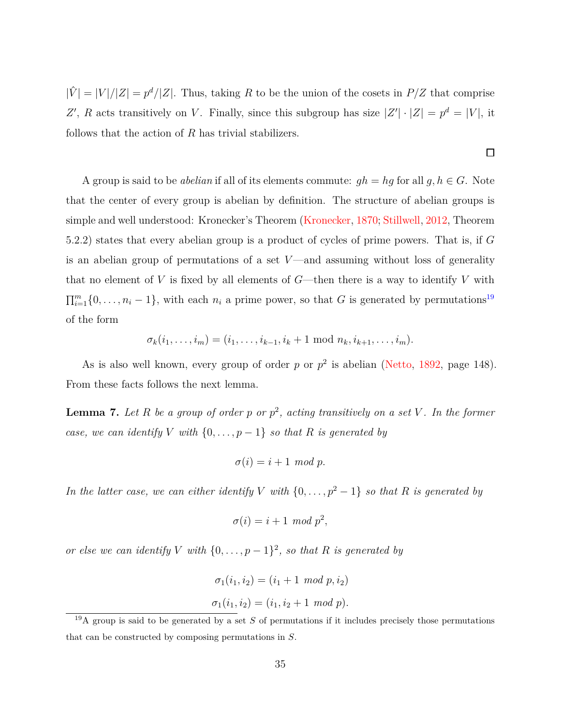$|\hat{V}| = |V|/|Z| = p^d/|Z|$ . Thus, taking R to be the union of the cosets in  $P/Z$  that comprise *Z*<sup>'</sup>, *R* acts transitively on *V*. Finally, since this subgroup has size  $|Z'|\cdot|Z| = p^d = |V|$ , it follows that the action of *R* has trivial stabilizers.

A group is said to be *abelian* if all of its elements commute:  $gh = hg$  for all  $g, h \in G$ . Note that the center of every group is abelian by definition. The structure of abelian groups is simple and well understood: Kronecker's Theorem [\(Kronecker](#page-41-10), [1870;](#page-41-10) [Stillwell](#page-42-4), [2012](#page-42-4), Theorem 5.2.2) states that every abelian group is a product of cycles of prime powers. That is, if *G* is an abelian group of permutations of a set  $V$ —and assuming without loss of generality that no element of  $V$  is fixed by all elements of  $G$ —then there is a way to identify  $V$  with  $\prod_{i=1}^{m} \{0, \ldots, n_i - 1\}$ , with each  $n_i$  a prime power, so that *G* is generated by permutations<sup>[19](#page-34-0)</sup> of the form

$$
\sigma_k(i_1,\ldots,i_m)=(i_1,\ldots,i_{k-1},i_k+1 \text{ mod } n_k,i_{k+1},\ldots,i_m).
$$

As is also well known, every group of order  $p$  or  $p^2$  is abelian [\(Netto](#page-41-11), [1892,](#page-41-11) page 148). From these facts follows the next lemma.

<span id="page-34-1"></span>**Lemma 7.** *Let R be a group of order p or p* 2 *, acting transitively on a set V . In the former case, we can identify V with*  $\{0, \ldots, p-1\}$  *so that R is generated by* 

$$
\sigma(i) = i + 1 \mod p.
$$

*In the latter case, we can either identify V with*  $\{0, \ldots, p^2 - 1\}$  *so that R is generated by* 

$$
\sigma(i) = i + 1 \mod p^2,
$$

*or else we can identify V with*  $\{0, \ldots, p-1\}^2$ , *so that R is generated by* 

$$
\sigma_1(i_1, i_2) = (i_1 + 1 \mod p, i_2)
$$
  

$$
\sigma_1(i_1, i_2) = (i_1, i_2 + 1 \mod p).
$$

 $\Box$ 

<span id="page-34-0"></span><sup>&</sup>lt;sup>19</sup>A group is said to be generated by a set *S* of permutations if it includes precisely those permutations that can be constructed by composing permutations in *S*.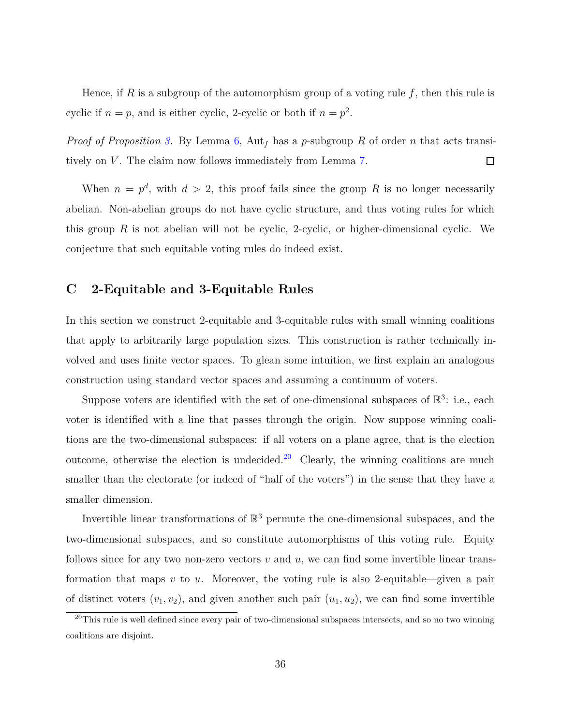Hence, if *R* is a subgroup of the automorphism group of a voting rule *f*, then this rule is cyclic if  $n = p$ , and is either cyclic, 2-cyclic or both if  $n = p^2$ .

*Proof of Proposition [3.](#page-21-0)* By Lemma [6,](#page-33-0) Aut*<sup>f</sup>* has a *p*-subgroup *R* of order *n* that acts transitively on *V*. The claim now follows immediately from Lemma [7.](#page-34-1)  $\Box$ 

When  $n = p^d$ , with  $d > 2$ , this proof fails since the group R is no longer necessarily abelian. Non-abelian groups do not have cyclic structure, and thus voting rules for which this group *R* is not abelian will not be cyclic, 2-cyclic, or higher-dimensional cyclic. We conjecture that such equitable voting rules do indeed exist.

## <span id="page-35-0"></span>**C 2-Equitable and 3-Equitable Rules**

In this section we construct 2-equitable and 3-equitable rules with small winning coalitions that apply to arbitrarily large population sizes. This construction is rather technically involved and uses finite vector spaces. To glean some intuition, we first explain an analogous construction using standard vector spaces and assuming a continuum of voters.

Suppose voters are identified with the set of one-dimensional subspaces of  $\mathbb{R}^3$ : i.e., each voter is identified with a line that passes through the origin. Now suppose winning coalitions are the two-dimensional subspaces: if all voters on a plane agree, that is the election outcome, otherwise the election is undecided.<sup>[20](#page-35-1)</sup> Clearly, the winning coalitions are much smaller than the electorate (or indeed of "half of the voters") in the sense that they have a smaller dimension.

Invertible linear transformations of  $\mathbb{R}^3$  permute the one-dimensional subspaces, and the two-dimensional subspaces, and so constitute automorphisms of this voting rule. Equity follows since for any two non-zero vectors  $v$  and  $u$ , we can find some invertible linear transformation that maps *v* to *u*. Moreover, the voting rule is also 2-equitable—given a pair of distinct voters  $(v_1, v_2)$ , and given another such pair  $(u_1, u_2)$ , we can find some invertible

<span id="page-35-1"></span> $^{20}$ This rule is well defined since every pair of two-dimensional subspaces intersects, and so no two winning coalitions are disjoint.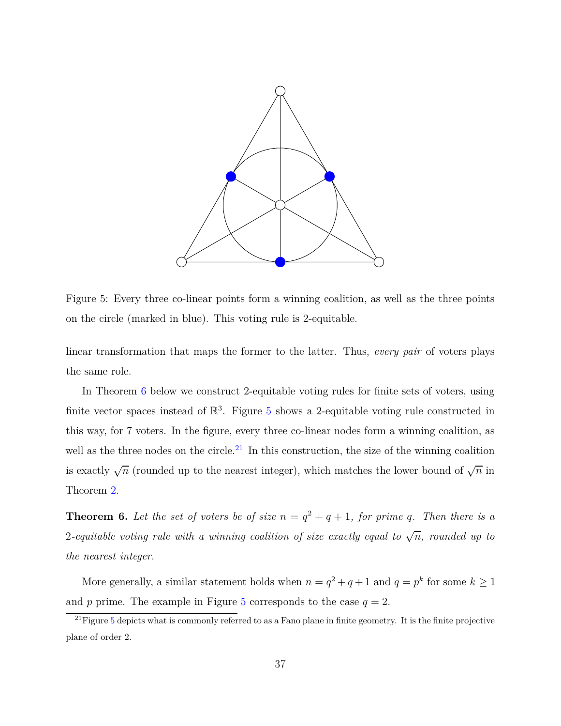<span id="page-36-1"></span>

Figure 5: Every three co-linear points form a winning coalition, as well as the three points on the circle (marked in blue). This voting rule is 2-equitable.

linear transformation that maps the former to the latter. Thus, *every pair* of voters plays the same role.

In Theorem [6](#page-36-0) below we construct 2-equitable voting rules for finite sets of voters, using finite vector spaces instead of  $\mathbb{R}^3$ . Figure [5](#page-36-1) shows a 2-equitable voting rule constructed in this way, for 7 voters. In the figure, every three co-linear nodes form a winning coalition, as well as the three nodes on the circle.<sup>[21](#page-36-2)</sup> In this construction, the size of the winning coalition is exactly  $\sqrt{n}$  (rounded up to the nearest integer), which matches the lower bound of  $\sqrt{n}$  in Theorem [2.](#page-15-1)

<span id="page-36-0"></span>**Theorem 6.** Let the set of voters be of size  $n = q^2 + q + 1$ , for prime q. Then there is a 2-equitable voting rule with a winning coalition of size exactly equal to  $\sqrt{n}$ , rounded up to *the nearest integer.*

More generally, a similar statement holds when  $n = q^2 + q + 1$  and  $q = p^k$  for some  $k \ge 1$ and *p* prime. The example in Figure [5](#page-36-1) corresponds to the case  $q = 2$ .

<span id="page-36-2"></span> $^{21}$ Figure [5](#page-36-1) depicts what is commonly referred to as a Fano plane in finite geometry. It is the finite projective plane of order 2.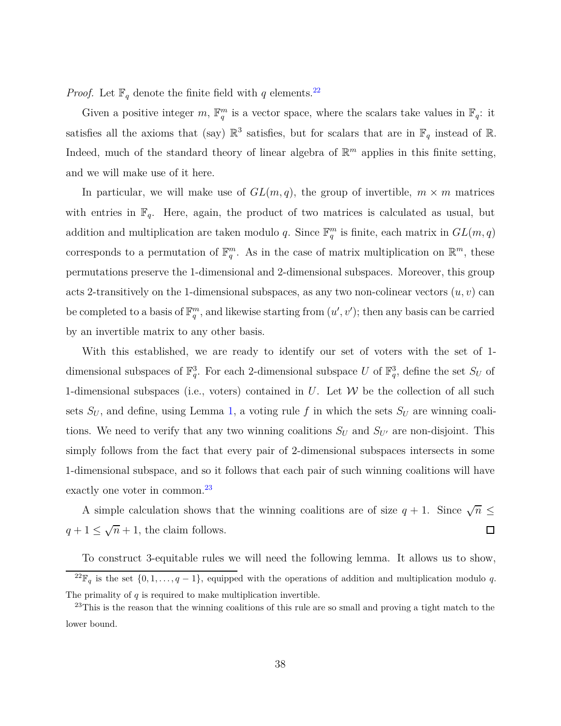*Proof.* Let  $\mathbb{F}_q$  denote the finite field with *q* elements.<sup>[22](#page-37-0)</sup>

Given a positive integer  $m$ ,  $\mathbb{F}_q^m$  is a vector space, where the scalars take values in  $\mathbb{F}_q$ : it satisfies all the axioms that (say)  $\mathbb{R}^3$  satisfies, but for scalars that are in  $\mathbb{F}_q$  instead of  $\mathbb{R}$ . Indeed, much of the standard theory of linear algebra of  $\mathbb{R}^m$  applies in this finite setting, and we will make use of it here.

In particular, we will make use of  $GL(m, q)$ , the group of invertible,  $m \times m$  matrices with entries in  $\mathbb{F}_q$ . Here, again, the product of two matrices is calculated as usual, but addition and multiplication are taken modulo *q*. Since  $\mathbb{F}_q^m$  is finite, each matrix in  $GL(m, q)$ corresponds to a permutation of  $\mathbb{F}_q^m$ . As in the case of matrix multiplication on  $\mathbb{R}^m$ , these permutations preserve the 1-dimensional and 2-dimensional subspaces. Moreover, this group acts 2-transitively on the 1-dimensional subspaces, as any two non-colinear vectors  $(u, v)$  can be completed to a basis of  $\mathbb{F}_q^m$ , and likewise starting from  $(u', v')$ ; then any basis can be carried by an invertible matrix to any other basis.

With this established, we are ready to identify our set of voters with the set of 1 dimensional subspaces of  $\mathbb{F}_q^3$ . For each 2-dimensional subspace *U* of  $\mathbb{F}_q^3$ , define the set  $S_U$  of 1-dimensional subspaces (i.e., voters) contained in *U*. Let W be the collection of all such sets  $S_U$ , and define, using Lemma [1,](#page-13-0) a voting rule f in which the sets  $S_U$  are winning coalitions. We need to verify that any two winning coalitions  $S_U$  and  $S_{U'}$  are non-disjoint. This simply follows from the fact that every pair of 2-dimensional subspaces intersects in some 1-dimensional subspace, and so it follows that each pair of such winning coalitions will have exactly one voter in common.<sup>[23](#page-37-1)</sup>

A simple calculation shows that the winning coalitions are of size  $q + 1$ . Since  $\sqrt{n} \leq$  $q + 1 \leq \sqrt{n} + 1$ , the claim follows.  $\Box$ 

To construct 3-equitable rules we will need the following lemma. It allows us to show, <sup>22</sup> $\mathbb{F}_q$  is the set  $\{0, 1, \ldots, q-1\}$ , equipped with the operations of addition and multiplication modulo *q*. The primality of *q* is required to make multiplication invertible.

<span id="page-37-1"></span><span id="page-37-0"></span><sup>&</sup>lt;sup>23</sup>This is the reason that the winning coalitions of this rule are so small and proving a tight match to the lower bound.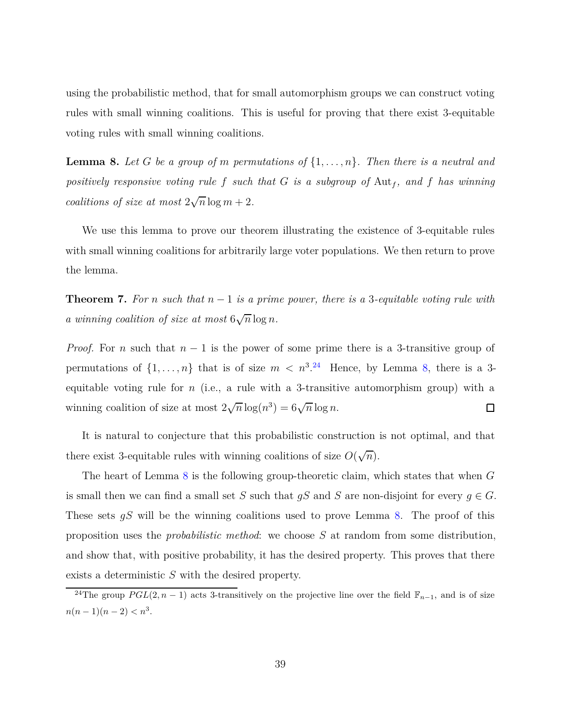using the probabilistic method, that for small automorphism groups we can construct voting rules with small winning coalitions. This is useful for proving that there exist 3-equitable voting rules with small winning coalitions.

<span id="page-38-1"></span>**Lemma 8.** Let G be a group of m permutations of  $\{1, \ldots, n\}$ . Then there is a neutral and *positively responsive voting rule*  $f$  *such that*  $G$  *is a subgroup of*  $\text{Aut}_f$ *, and*  $f$  *has winning coalitions of size at most*  $2\sqrt{n}\log m + 2$ *.* 

We use this lemma to prove our theorem illustrating the existence of 3-equitable rules with small winning coalitions for arbitrarily large voter populations. We then return to prove the lemma.

**Theorem 7.** For *n* such that  $n-1$  is a prime power, there is a 3-equitable voting rule with *a* winning coalition of size at most  $6\sqrt{n}\log n$ .

*Proof.* For *n* such that  $n-1$  is the power of some prime there is a 3-transitive group of permutations of  $\{1, \ldots, n\}$  that is of size  $m < n^{3.24}$  $m < n^{3.24}$  $m < n^{3.24}$  Hence, by Lemma [8,](#page-38-1) there is a 3equitable voting rule for *n* (i.e., a rule with a 3-transitive automorphism group) with a winning coalition of size at most  $2\sqrt{n}\log(n^3) = 6\sqrt{n}\log n$ .  $\Box$ 

It is natural to conjecture that this probabilistic construction is not optimal, and that there exist 3-equitable rules with winning coalitions of size  $O(\sqrt{n})$ .

The heart of Lemma [8](#page-38-1) is the following group-theoretic claim, which states that when *G* is small then we can find a small set *S* such that  $gS$  and *S* are non-disjoint for every  $g \in G$ . These sets *gS* will be the winning coalitions used to prove Lemma [8.](#page-38-1) The proof of this proposition uses the *probabilistic method*: we choose *S* at random from some distribution, and show that, with positive probability, it has the desired property. This proves that there exists a deterministic *S* with the desired property.

<span id="page-38-0"></span><sup>&</sup>lt;sup>24</sup>The group  $PGL(2, n-1)$  acts 3-transitively on the projective line over the field  $\mathbb{F}_{n-1}$ , and is of size  $n(n-1)(n-2) < n^3$ .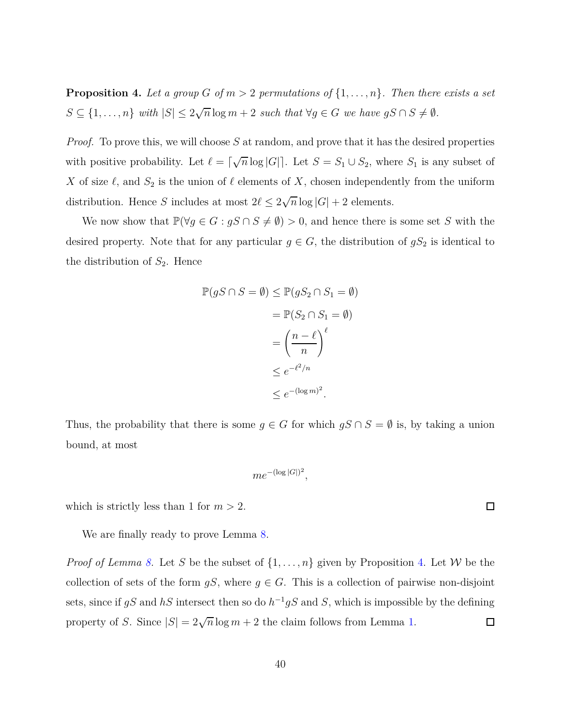<span id="page-39-0"></span>**Proposition 4.** Let a group *G* of  $m > 2$  permutations of  $\{1, \ldots, n\}$ . Then there exists a set  $S \subseteq \{1, \ldots, n\}$  *with*  $|S| \leq 2\sqrt{n} \log m + 2$  *such that*  $\forall g \in G$  *we have*  $gS \cap S \neq \emptyset$ *.* 

*Proof.* To prove this, we will choose S at random, and prove that it has the desired properties with positive probability. Let  $\ell = \lceil \sqrt{n} \log |G| \rceil$ . Let  $S = S_1 \cup S_2$ , where  $S_1$  is any subset of *X* of size  $\ell$ , and  $S_2$  is the union of  $\ell$  elements of *X*, chosen independently from the uniform distribution. Hence *S* includes at most  $2\ell \leq 2\sqrt{n}\log|G| + 2$  elements.

We now show that  $\mathbb{P}(\forall g \in G : gS \cap S \neq \emptyset) > 0$ , and hence there is some set *S* with the desired property. Note that for any particular  $g \in G$ , the distribution of  $gS_2$  is identical to the distribution of  $S_2$ . Hence

$$
\mathbb{P}(gS \cap S = \emptyset) \leq \mathbb{P}(gS_2 \cap S_1 = \emptyset)
$$

$$
= \mathbb{P}(S_2 \cap S_1 = \emptyset)
$$

$$
= \left(\frac{n - \ell}{n}\right)^{\ell}
$$

$$
\leq e^{-\ell^2/n}
$$

$$
\leq e^{-(\log m)^2}.
$$

Thus, the probability that there is some  $g \in G$  for which  $gS \cap S = \emptyset$  is, by taking a union bound, at most

$$
me^{-(\log |G|)^2},
$$

which is strictly less than 1 for  $m > 2$ .

We are finally ready to prove Lemma [8.](#page-38-1)

*Proof of Lemma [8.](#page-38-1)* Let *S* be the subset of  $\{1, \ldots, n\}$  given by Proposition [4.](#page-39-0) Let *W* be the collection of sets of the form  $gS$ , where  $g \in G$ . This is a collection of pairwise non-disjoint sets, since if  $gS$  and  $hS$  intersect then so do  $h^{-1}gS$  and  $S$ , which is impossible by the defining property of *S*. Since  $|S| = 2\sqrt{n}\log m + 2$  the claim follows from Lemma [1.](#page-13-0)  $\Box$ 

 $\Box$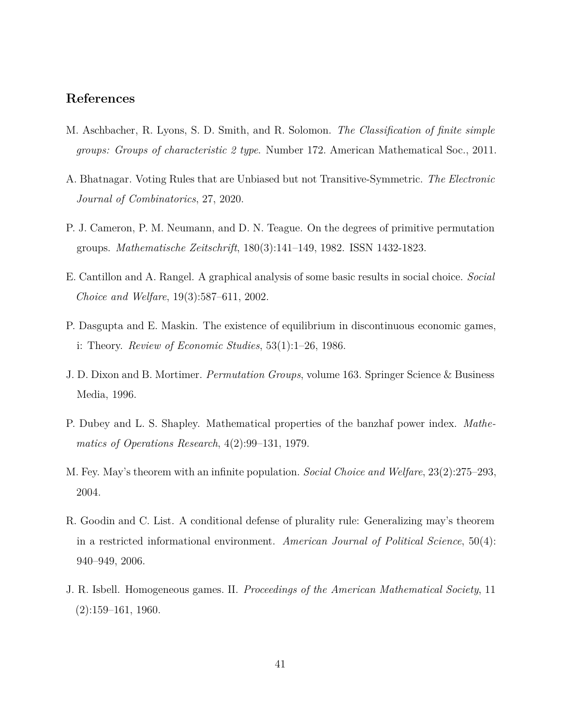## **References**

- <span id="page-40-7"></span>M. Aschbacher, R. Lyons, S. D. Smith, and R. Solomon. *The Classification of finite simple groups: Groups of characteristic 2 type*. Number 172. American Mathematical Soc., 2011.
- <span id="page-40-4"></span>A. Bhatnagar. Voting Rules that are Unbiased but not Transitive-Symmetric. *The Electronic Journal of Combinatorics*, 27, 2020.
- <span id="page-40-6"></span>P. J. Cameron, P. M. Neumann, and D. N. Teague. On the degrees of primitive permutation groups. *Mathematische Zeitschrift*, 180(3):141–149, 1982. ISSN 1432-1823.
- <span id="page-40-0"></span>E. Cantillon and A. Rangel. A graphical analysis of some basic results in social choice. *Social Choice and Welfare*, 19(3):587–611, 2002.
- <span id="page-40-8"></span>P. Dasgupta and E. Maskin. The existence of equilibrium in discontinuous economic games, i: Theory. *Review of Economic Studies*, 53(1):1–26, 1986.
- <span id="page-40-9"></span>J. D. Dixon and B. Mortimer. *Permutation Groups*, volume 163. Springer Science & Business Media, 1996.
- <span id="page-40-3"></span>P. Dubey and L. S. Shapley. Mathematical properties of the banzhaf power index. *Mathematics of Operations Research*, 4(2):99–131, 1979.
- <span id="page-40-1"></span>M. Fey. May's theorem with an infinite population. *Social Choice and Welfare*, 23(2):275–293, 2004.
- <span id="page-40-2"></span>R. Goodin and C. List. A conditional defense of plurality rule: Generalizing may's theorem in a restricted informational environment. *American Journal of Political Science*, 50(4): 940–949, 2006.
- <span id="page-40-5"></span>J. R. Isbell. Homogeneous games. II. *Proceedings of the American Mathematical Society*, 11  $(2):159-161, 1960.$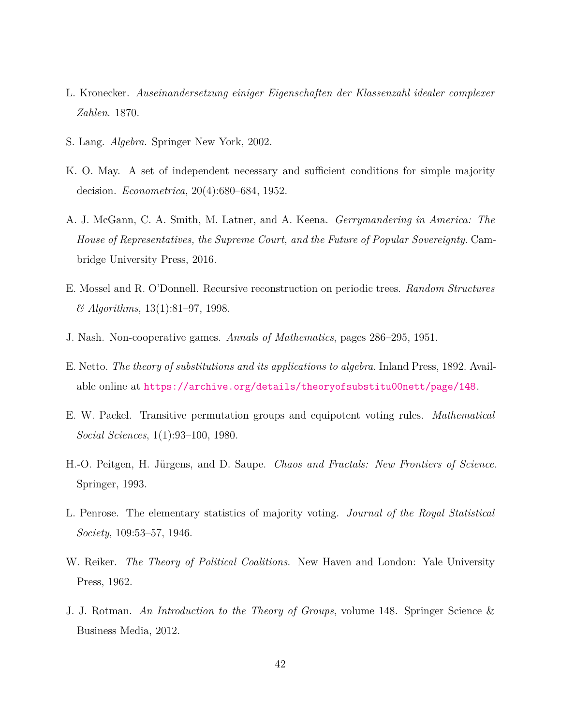- <span id="page-41-10"></span>L. Kronecker. *Auseinandersetzung einiger Eigenschaften der Klassenzahl idealer complexer Zahlen*. 1870.
- <span id="page-41-9"></span>S. Lang. *Algebra*. Springer New York, 2002.
- <span id="page-41-0"></span>K. O. May. A set of independent necessary and sufficient conditions for simple majority decision. *Econometrica*, 20(4):680–684, 1952.
- <span id="page-41-4"></span>A. J. McGann, C. A. Smith, M. Latner, and A. Keena. *Gerrymandering in America: The House of Representatives, the Supreme Court, and the Future of Popular Sovereignty*. Cambridge University Press, 2016.
- <span id="page-41-3"></span>E. Mossel and R. O'Donnell. Recursive reconstruction on periodic trees. *Random Structures & Algorithms*, 13(1):81–97, 1998.
- <span id="page-41-7"></span>J. Nash. Non-cooperative games. *Annals of Mathematics*, pages 286–295, 1951.
- <span id="page-41-11"></span>E. Netto. *The theory of substitutions and its applications to algebra*. Inland Press, 1892. Available online at <https://archive.org/details/theoryofsubstitu00nett/page/148>.
- <span id="page-41-1"></span>E. W. Packel. Transitive permutation groups and equipotent voting rules. *Mathematical Social Sciences*, 1(1):93–100, 1980.
- <span id="page-41-6"></span>H.-O. Peitgen, H. Jürgens, and D. Saupe. *Chaos and Fractals: New Frontiers of Science*. Springer, 1993.
- <span id="page-41-5"></span>L. Penrose. The elementary statistics of majority voting. *Journal of the Royal Statistical Society*, 109:53–57, 1946.
- <span id="page-41-2"></span>W. Reiker. *The Theory of Political Coalitions*. New Haven and London: Yale University Press, 1962.
- <span id="page-41-8"></span>J. J. Rotman. *An Introduction to the Theory of Groups*, volume 148. Springer Science & Business Media, 2012.